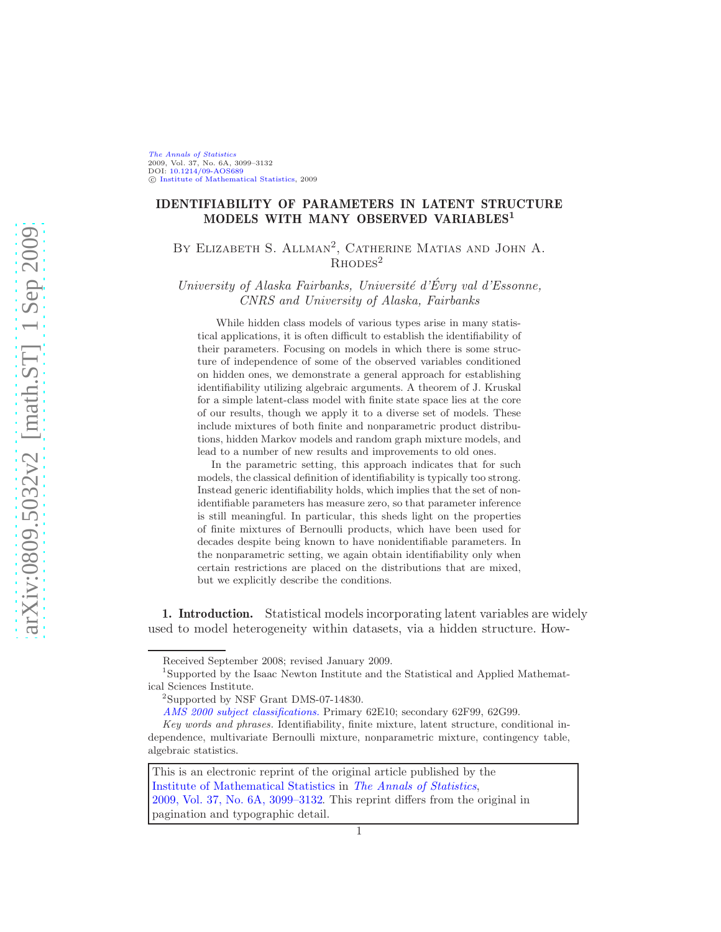[The Annals of Statistics](http://www.imstat.org/aos/) 2009, Vol. 37, No. 6A, 3099–3132 DOI: [10.1214/09-AOS689](http://dx.doi.org/10.1214/09-AOS689)  $\circledR$  [Institute of Mathematical Statistics,](http://www.imstat.org) 2009

# IDENTIFIABILITY OF PARAMETERS IN LATENT STRUCTURE MODELS WITH MANY OBSERVED VARIABLES<sup>1</sup>

BY ELIZABETH S. ALLMAN<sup>2</sup>, CATHERINE MATIAS AND JOHN A.  $R$ <sub>HODES</sub><sup>2</sup>

University of Alaska Fairbanks, Université d'Évry val d'Essonne, CNRS and University of Alaska, Fairbanks

While hidden class models of various types arise in many statistical applications, it is often difficult to establish the identifiability of their parameters. Focusing on models in which there is some structure of independence of some of the observed variables conditioned on hidden ones, we demonstrate a general approach for establishing identifiability utilizing algebraic arguments. A theorem of J. Kruskal for a simple latent-class model with finite state space lies at the core of our results, though we apply it to a diverse set of models. These include mixtures of both finite and nonparametric product distributions, hidden Markov models and random graph mixture models, and lead to a number of new results and improvements to old ones.

In the parametric setting, this approach indicates that for such models, the classical definition of identifiability is typically too strong. Instead generic identifiability holds, which implies that the set of nonidentifiable parameters has measure zero, so that parameter inference is still meaningful. In particular, this sheds light on the properties of finite mixtures of Bernoulli products, which have been used for decades despite being known to have nonidentifiable parameters. In the nonparametric setting, we again obtain identifiability only when certain restrictions are placed on the distributions that are mixed, but we explicitly describe the conditions.

1. Introduction. Statistical models incorporating latent variables are widely used to model heterogeneity within datasets, via a hidden structure. How-

This is an electronic reprint of the original article published by the [Institute of Mathematical Statistics](http://www.imstat.org) in [The Annals of Statistics](http://www.imstat.org/aos/), [2009, Vol. 37, No. 6A, 3099–3132.](http://dx.doi.org/10.1214/09-AOS689) This reprint differs from the original in pagination and typographic detail.

Received September 2008; revised January 2009.

<sup>&</sup>lt;sup>1</sup>Supported by the Isaac Newton Institute and the Statistical and Applied Mathematical Sciences Institute.

<sup>2</sup> Supported by NSF Grant DMS-07-14830.

[AMS 2000 subject classifications.](http://www.ams.org/msc/) Primary 62E10; secondary 62F99, 62G99.

Key words and phrases. Identifiability, finite mixture, latent structure, conditional independence, multivariate Bernoulli mixture, nonparametric mixture, contingency table, algebraic statistics.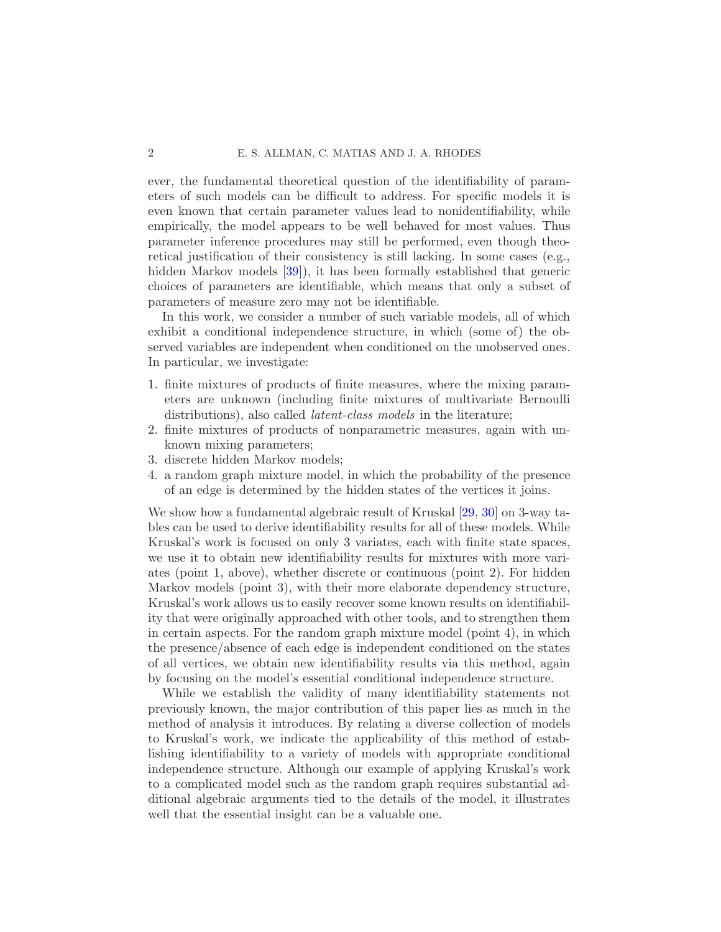ever, the fundamental theoretical question of the identifiability of parameters of such models can be difficult to address. For specific models it is even known that certain parameter values lead to nonidentifiability, while empirically, the model appears to be well behaved for most values. Thus parameter inference procedures may still be performed, even though theoretical justification of their consistency is still lacking. In some cases (e.g., hidden Markov models [\[39\]](#page-34-0)), it has been formally established that generic choices of parameters are identifiable, which means that only a subset of parameters of measure zero may not be identifiable.

In this work, we consider a number of such variable models, all of which exhibit a conditional independence structure, in which (some of) the observed variables are independent when conditioned on the unobserved ones. In particular, we investigate:

- 1. finite mixtures of products of finite measures, where the mixing parameters are unknown (including finite mixtures of multivariate Bernoulli distributions), also called *latent-class models* in the literature;
- 2. finite mixtures of products of nonparametric measures, again with unknown mixing parameters;
- 3. discrete hidden Markov models;
- 4. a random graph mixture model, in which the probability of the presence of an edge is determined by the hidden states of the vertices it joins.

We show how a fundamental algebraic result of Kruskal [\[29](#page-34-1), [30](#page-34-2)] on 3-way tables can be used to derive identifiability results for all of these models. While Kruskal's work is focused on only 3 variates, each with finite state spaces, we use it to obtain new identifiability results for mixtures with more variates (point 1, above), whether discrete or continuous (point 2). For hidden Markov models (point 3), with their more elaborate dependency structure, Kruskal's work allows us to easily recover some known results on identifiability that were originally approached with other tools, and to strengthen them in certain aspects. For the random graph mixture model (point 4), in which the presence/absence of each edge is independent conditioned on the states of all vertices, we obtain new identifiability results via this method, again by focusing on the model's essential conditional independence structure.

While we establish the validity of many identifiability statements not previously known, the major contribution of this paper lies as much in the method of analysis it introduces. By relating a diverse collection of models to Kruskal's work, we indicate the applicability of this method of establishing identifiability to a variety of models with appropriate conditional independence structure. Although our example of applying Kruskal's work to a complicated model such as the random graph requires substantial additional algebraic arguments tied to the details of the model, it illustrates well that the essential insight can be a valuable one.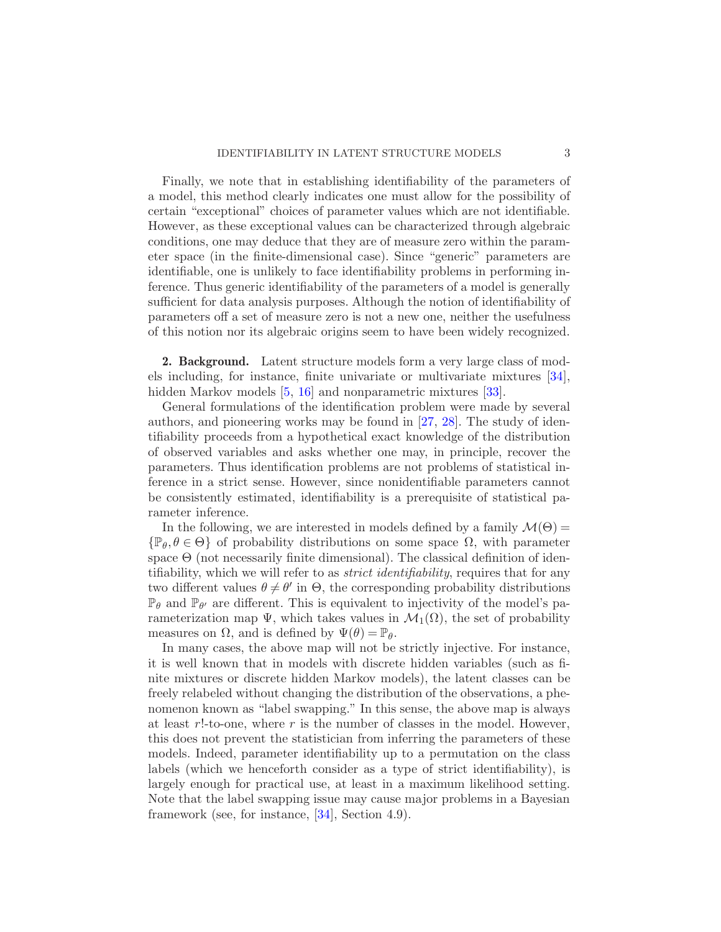Finally, we note that in establishing identifiability of the parameters of a model, this method clearly indicates one must allow for the possibility of certain "exceptional" choices of parameter values which are not identifiable. However, as these exceptional values can be characterized through algebraic conditions, one may deduce that they are of measure zero within the parameter space (in the finite-dimensional case). Since "generic" parameters are identifiable, one is unlikely to face identifiability problems in performing inference. Thus generic identifiability of the parameters of a model is generally sufficient for data analysis purposes. Although the notion of identifiability of parameters off a set of measure zero is not a new one, neither the usefulness of this notion nor its algebraic origins seem to have been widely recognized.

2. Background. Latent structure models form a very large class of models including, for instance, finite univariate or multivariate mixtures [\[34](#page-34-3)], hidden Markov models [\[5](#page-32-0), [16](#page-33-0)] and nonparametric mixtures [\[33\]](#page-34-4).

General formulations of the identification problem were made by several authors, and pioneering works may be found in [\[27,](#page-34-5) [28](#page-34-6)]. The study of identifiability proceeds from a hypothetical exact knowledge of the distribution of observed variables and asks whether one may, in principle, recover the parameters. Thus identification problems are not problems of statistical inference in a strict sense. However, since nonidentifiable parameters cannot be consistently estimated, identifiability is a prerequisite of statistical parameter inference.

In the following, we are interested in models defined by a family  $\mathcal{M}(\Theta)$  =  $\{\mathbb{P}_{\theta}, \theta \in \Theta\}$  of probability distributions on some space  $\Omega$ , with parameter space  $\Theta$  (not necessarily finite dimensional). The classical definition of identifiability, which we will refer to as *strict identifiability*, requires that for any two different values  $\theta \neq \theta'$  in  $\Theta$ , the corresponding probability distributions  $\mathbb{P}_{\theta}$  and  $\mathbb{P}_{\theta'}$  are different. This is equivalent to injectivity of the model's parameterization map  $\Psi$ , which takes values in  $\mathcal{M}_1(\Omega)$ , the set of probability measures on  $\Omega$ , and is defined by  $\Psi(\theta) = \mathbb{P}_{\theta}$ .

In many cases, the above map will not be strictly injective. For instance, it is well known that in models with discrete hidden variables (such as finite mixtures or discrete hidden Markov models), the latent classes can be freely relabeled without changing the distribution of the observations, a phenomenon known as "label swapping." In this sense, the above map is always at least  $r!$ -to-one, where  $r$  is the number of classes in the model. However, this does not prevent the statistician from inferring the parameters of these models. Indeed, parameter identifiability up to a permutation on the class labels (which we henceforth consider as a type of strict identifiability), is largely enough for practical use, at least in a maximum likelihood setting. Note that the label swapping issue may cause major problems in a Bayesian framework (see, for instance, [\[34](#page-34-3)], Section 4.9).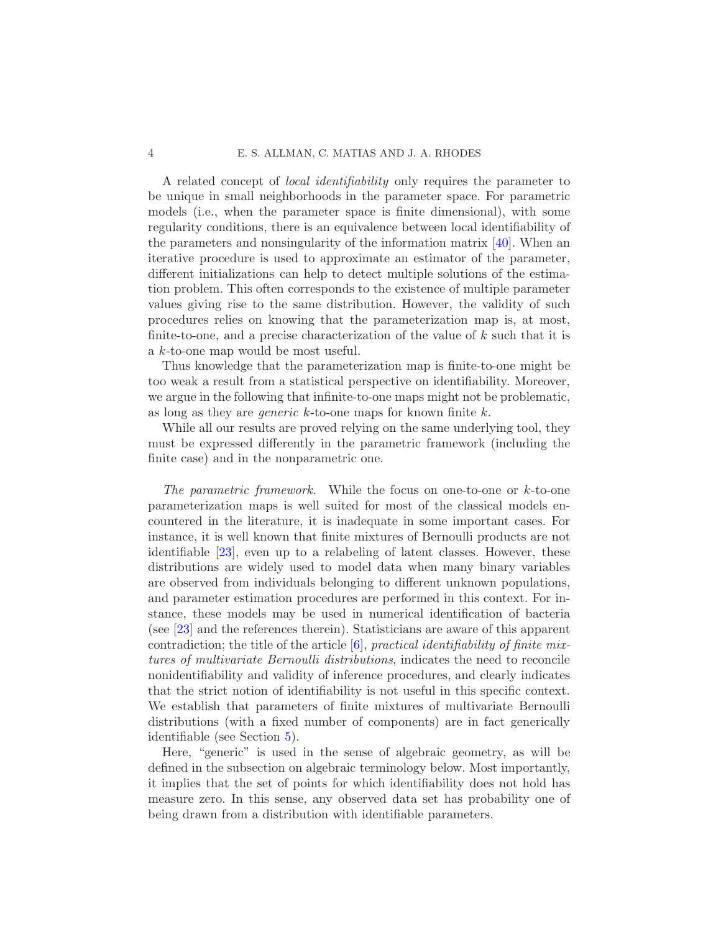### 4 E. S. ALLMAN, C. MATIAS AND J. A. RHODES

A related concept of local identifiability only requires the parameter to be unique in small neighborhoods in the parameter space. For parametric models (i.e., when the parameter space is finite dimensional), with some regularity conditions, there is an equivalence between local identifiability of the parameters and nonsingularity of the information matrix [\[40\]](#page-34-7). When an iterative procedure is used to approximate an estimator of the parameter, different initializations can help to detect multiple solutions of the estimation problem. This often corresponds to the existence of multiple parameter values giving rise to the same distribution. However, the validity of such procedures relies on knowing that the parameterization map is, at most, finite-to-one, and a precise characterization of the value of  $k$  such that it is a k-to-one map would be most useful.

Thus knowledge that the parameterization map is finite-to-one might be too weak a result from a statistical perspective on identifiability. Moreover, we argue in the following that infinite-to-one maps might not be problematic, as long as they are *generic*  $k$ -to-one maps for known finite  $k$ .

While all our results are proved relying on the same underlying tool, they must be expressed differently in the parametric framework (including the finite case) and in the nonparametric one.

The parametric framework. While the focus on one-to-one or k-to-one parameterization maps is well suited for most of the classical models encountered in the literature, it is inadequate in some important cases. For instance, it is well known that finite mixtures of Bernoulli products are not identifiable [\[23](#page-33-1)], even up to a relabeling of latent classes. However, these distributions are widely used to model data when many binary variables are observed from individuals belonging to different unknown populations, and parameter estimation procedures are performed in this context. For instance, these models may be used in numerical identification of bacteria (see [\[23](#page-33-1)] and the references therein). Statisticians are aware of this apparent contradiction; the title of the article  $[6]$ , practical identifiability of finite mixtures of multivariate Bernoulli distributions, indicates the need to reconcile nonidentifiability and validity of inference procedures, and clearly indicates that the strict notion of identifiability is not useful in this specific context. We establish that parameters of finite mixtures of multivariate Bernoulli distributions (with a fixed number of components) are in fact generically identifiable (see Section [5\)](#page-11-0).

Here, "generic" is used in the sense of algebraic geometry, as will be defined in the subsection on algebraic terminology below. Most importantly, it implies that the set of points for which identifiability does not hold has measure zero. In this sense, any observed data set has probability one of being drawn from a distribution with identifiable parameters.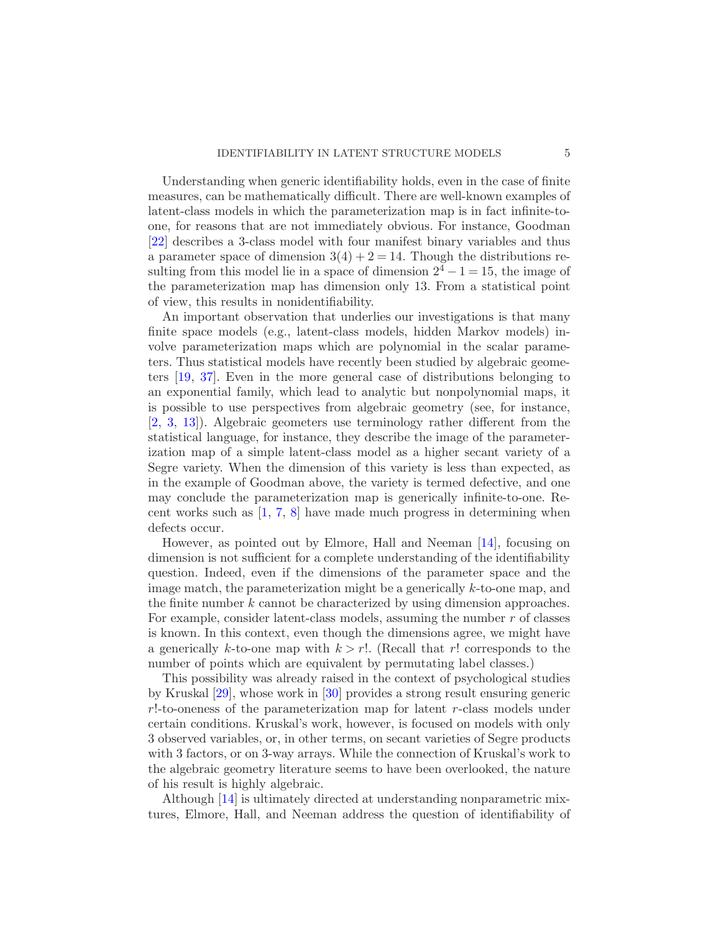Understanding when generic identifiability holds, even in the case of finite measures, can be mathematically difficult. There are well-known examples of latent-class models in which the parameterization map is in fact infinite-toone, for reasons that are not immediately obvious. For instance, Goodman [\[22\]](#page-33-3) describes a 3-class model with four manifest binary variables and thus a parameter space of dimension  $3(4) + 2 = 14$ . Though the distributions resulting from this model lie in a space of dimension  $2^4 - 1 = 15$ , the image of the parameterization map has dimension only 13. From a statistical point of view, this results in nonidentifiability.

An important observation that underlies our investigations is that many finite space models (e.g., latent-class models, hidden Markov models) involve parameterization maps which are polynomial in the scalar parameters. Thus statistical models have recently been studied by algebraic geometers [\[19](#page-33-4), [37\]](#page-34-8). Even in the more general case of distributions belonging to an exponential family, which lead to analytic but nonpolynomial maps, it is possible to use perspectives from algebraic geometry (see, for instance, [\[2](#page-32-1), [3](#page-32-2), [13](#page-33-5)]). Algebraic geometers use terminology rather different from the statistical language, for instance, they describe the image of the parameterization map of a simple latent-class model as a higher secant variety of a Segre variety. When the dimension of this variety is less than expected, as in the example of Goodman above, the variety is termed defective, and one may conclude the parameterization map is generically infinite-to-one. Recent works such as [\[1](#page-32-3), [7,](#page-33-6) [8](#page-33-7)] have made much progress in determining when defects occur.

However, as pointed out by Elmore, Hall and Neeman [\[14](#page-33-8)], focusing on dimension is not sufficient for a complete understanding of the identifiability question. Indeed, even if the dimensions of the parameter space and the image match, the parameterization might be a generically  $k$ -to-one map, and the finite number  $k$  cannot be characterized by using dimension approaches. For example, consider latent-class models, assuming the number r of classes is known. In this context, even though the dimensions agree, we might have a generically k-to-one map with  $k > r!$ . (Recall that r! corresponds to the number of points which are equivalent by permutating label classes.)

This possibility was already raised in the context of psychological studies by Kruskal [\[29](#page-34-1)], whose work in [\[30](#page-34-2)] provides a strong result ensuring generic r!-to-oneness of the parameterization map for latent r-class models under certain conditions. Kruskal's work, however, is focused on models with only 3 observed variables, or, in other terms, on secant varieties of Segre products with 3 factors, or on 3-way arrays. While the connection of Kruskal's work to the algebraic geometry literature seems to have been overlooked, the nature of his result is highly algebraic.

Although [\[14](#page-33-8)] is ultimately directed at understanding nonparametric mixtures, Elmore, Hall, and Neeman address the question of identifiability of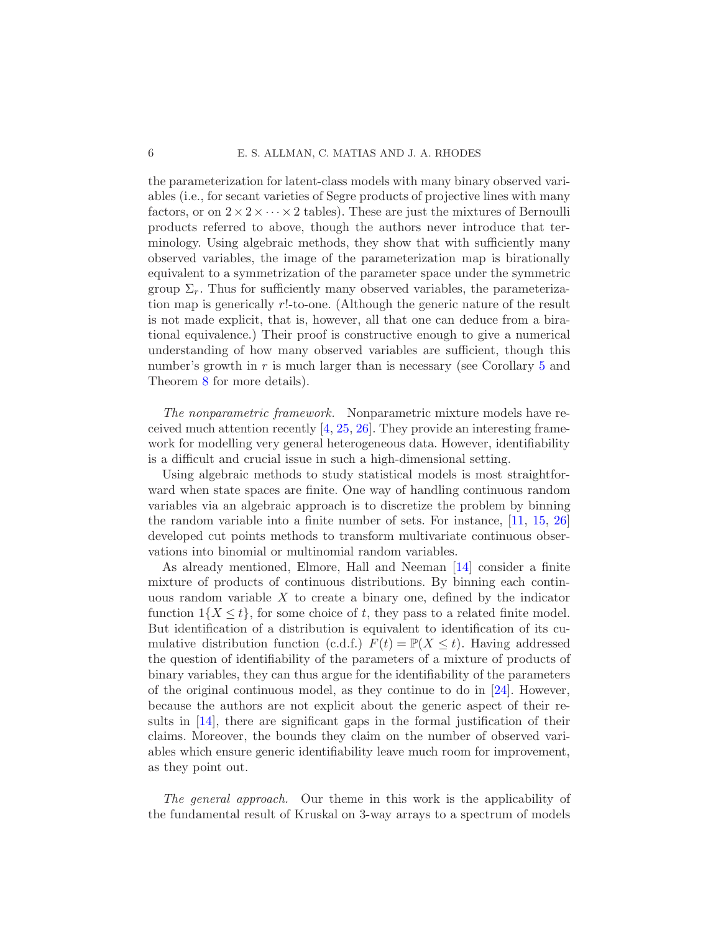the parameterization for latent-class models with many binary observed variables (i.e., for secant varieties of Segre products of projective lines with many factors, or on  $2 \times 2 \times \cdots \times 2$  tables). These are just the mixtures of Bernoulli products referred to above, though the authors never introduce that terminology. Using algebraic methods, they show that with sufficiently many observed variables, the image of the parameterization map is birationally equivalent to a symmetrization of the parameter space under the symmetric group  $\Sigma_r$ . Thus for sufficiently many observed variables, the parameterization map is generically r!-to-one. (Although the generic nature of the result is not made explicit, that is, however, all that one can deduce from a birational equivalence.) Their proof is constructive enough to give a numerical understanding of how many observed variables are sufficient, though this number's growth in  $r$  is much larger than is necessary (see Corollary [5](#page-12-0) and Theorem [8](#page-17-0) for more details).

The nonparametric framework. Nonparametric mixture models have received much attention recently [\[4](#page-32-4), [25,](#page-33-9) [26](#page-33-10)]. They provide an interesting framework for modelling very general heterogeneous data. However, identifiability is a difficult and crucial issue in such a high-dimensional setting.

Using algebraic methods to study statistical models is most straightforward when state spaces are finite. One way of handling continuous random variables via an algebraic approach is to discretize the problem by binning the random variable into a finite number of sets. For instance, [\[11](#page-33-11), [15](#page-33-12), [26](#page-33-10)] developed cut points methods to transform multivariate continuous observations into binomial or multinomial random variables.

As already mentioned, Elmore, Hall and Neeman [\[14](#page-33-8)] consider a finite mixture of products of continuous distributions. By binning each continuous random variable  $X$  to create a binary one, defined by the indicator function  $1\{X \leq t\}$ , for some choice of t, they pass to a related finite model. But identification of a distribution is equivalent to identification of its cumulative distribution function (c.d.f.)  $F(t) = \mathbb{P}(X \leq t)$ . Having addressed the question of identifiability of the parameters of a mixture of products of binary variables, they can thus argue for the identifiability of the parameters of the original continuous model, as they continue to do in [\[24\]](#page-33-13). However, because the authors are not explicit about the generic aspect of their results in [\[14](#page-33-8)], there are significant gaps in the formal justification of their claims. Moreover, the bounds they claim on the number of observed variables which ensure generic identifiability leave much room for improvement, as they point out.

The general approach. Our theme in this work is the applicability of the fundamental result of Kruskal on 3-way arrays to a spectrum of models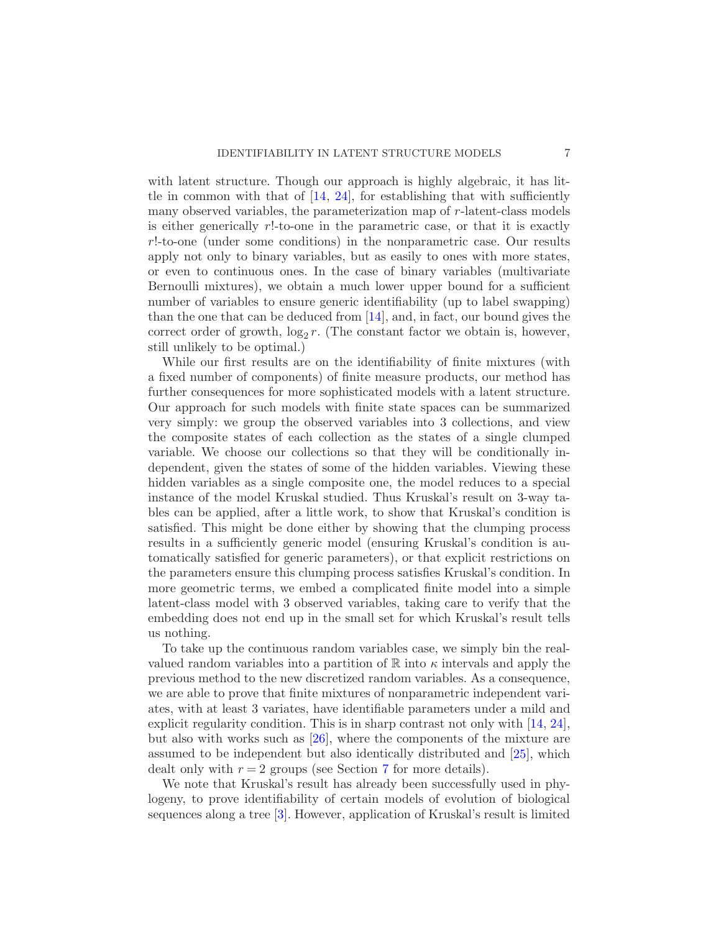with latent structure. Though our approach is highly algebraic, it has little in common with that of  $[14, 24]$  $[14, 24]$  $[14, 24]$ , for establishing that with sufficiently many observed variables, the parameterization map of r-latent-class models is either generically  $r!$ -to-one in the parametric case, or that it is exactly r!-to-one (under some conditions) in the nonparametric case. Our results apply not only to binary variables, but as easily to ones with more states, or even to continuous ones. In the case of binary variables (multivariate Bernoulli mixtures), we obtain a much lower upper bound for a sufficient number of variables to ensure generic identifiability (up to label swapping) than the one that can be deduced from [\[14](#page-33-8)], and, in fact, our bound gives the correct order of growth,  $\log_2 r$ . (The constant factor we obtain is, however, still unlikely to be optimal.)

While our first results are on the identifiability of finite mixtures (with a fixed number of components) of finite measure products, our method has further consequences for more sophisticated models with a latent structure. Our approach for such models with finite state spaces can be summarized very simply: we group the observed variables into 3 collections, and view the composite states of each collection as the states of a single clumped variable. We choose our collections so that they will be conditionally independent, given the states of some of the hidden variables. Viewing these hidden variables as a single composite one, the model reduces to a special instance of the model Kruskal studied. Thus Kruskal's result on 3-way tables can be applied, after a little work, to show that Kruskal's condition is satisfied. This might be done either by showing that the clumping process results in a sufficiently generic model (ensuring Kruskal's condition is automatically satisfied for generic parameters), or that explicit restrictions on the parameters ensure this clumping process satisfies Kruskal's condition. In more geometric terms, we embed a complicated finite model into a simple latent-class model with 3 observed variables, taking care to verify that the embedding does not end up in the small set for which Kruskal's result tells us nothing.

To take up the continuous random variables case, we simply bin the realvalued random variables into a partition of  $\mathbb R$  into  $\kappa$  intervals and apply the previous method to the new discretized random variables. As a consequence, we are able to prove that finite mixtures of nonparametric independent variates, with at least 3 variates, have identifiable parameters under a mild and explicit regularity condition. This is in sharp contrast not only with [\[14](#page-33-8), [24](#page-33-13)], but also with works such as [\[26](#page-33-10)], where the components of the mixture are assumed to be independent but also identically distributed and [\[25](#page-33-9)], which dealt only with  $r = 2$  groups (see Section [7](#page-17-1) for more details).

We note that Kruskal's result has already been successfully used in phylogeny, to prove identifiability of certain models of evolution of biological sequences along a tree [\[3](#page-32-2)]. However, application of Kruskal's result is limited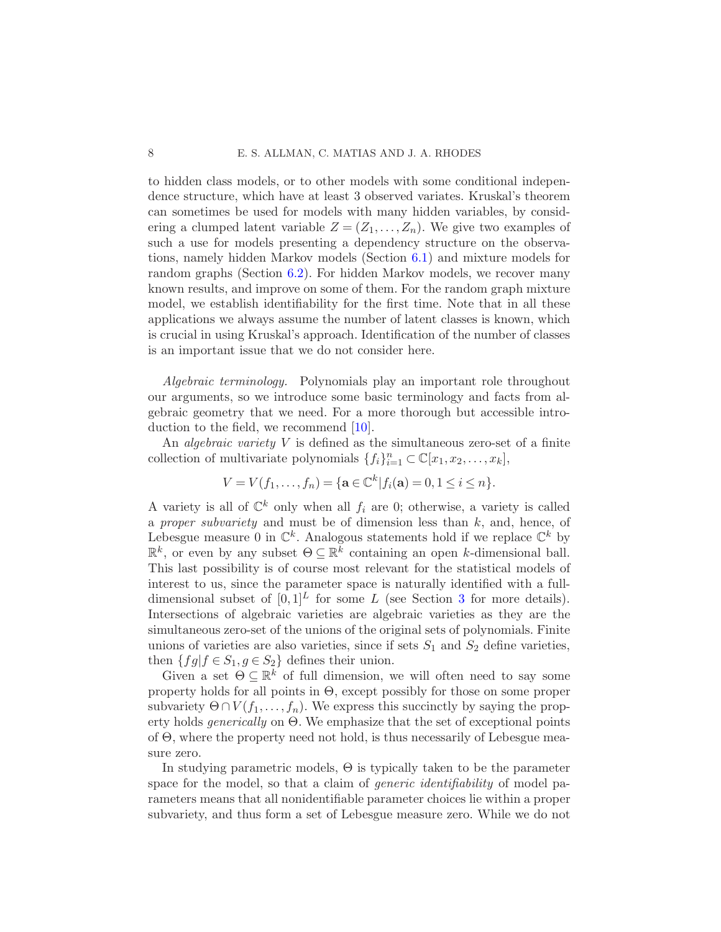to hidden class models, or to other models with some conditional independence structure, which have at least 3 observed variates. Kruskal's theorem can sometimes be used for models with many hidden variables, by considering a clumped latent variable  $Z = (Z_1, \ldots, Z_n)$ . We give two examples of such a use for models presenting a dependency structure on the observations, namely hidden Markov models (Section [6.1\)](#page-13-0) and mixture models for random graphs (Section [6.2\)](#page-15-0). For hidden Markov models, we recover many known results, and improve on some of them. For the random graph mixture model, we establish identifiability for the first time. Note that in all these applications we always assume the number of latent classes is known, which is crucial in using Kruskal's approach. Identification of the number of classes is an important issue that we do not consider here.

Algebraic terminology. Polynomials play an important role throughout our arguments, so we introduce some basic terminology and facts from algebraic geometry that we need. For a more thorough but accessible introduction to the field, we recommend [\[10](#page-33-14)].

An *algebraic variety*  $V$  is defined as the simultaneous zero-set of a finite collection of multivariate polynomials  $\{f_i\}_{i=1}^n \subset \mathbb{C}[x_1, x_2, \ldots, x_k],$ 

$$
V = V(f_1, ..., f_n) = \{ \mathbf{a} \in \mathbb{C}^k | f_i(\mathbf{a}) = 0, 1 \le i \le n \}.
$$

A variety is all of  $\mathbb{C}^k$  only when all  $f_i$  are 0; otherwise, a variety is called a proper subvariety and must be of dimension less than  $k$ , and, hence, of Lebesgue measure 0 in  $\mathbb{C}^k$ . Analogous statements hold if we replace  $\mathbb{C}^k$  by  $\mathbb{R}^k$ , or even by any subset  $\Theta \subseteq \mathbb{R}^k$  containing an open k-dimensional ball. This last possibility is of course most relevant for the statistical models of interest to us, since the parameter space is naturally identified with a fulldimensional subset of  $[0, 1]^L$  for some L (see Section [3](#page-8-0) for more details). Intersections of algebraic varieties are algebraic varieties as they are the simultaneous zero-set of the unions of the original sets of polynomials. Finite unions of varieties are also varieties, since if sets  $S_1$  and  $S_2$  define varieties, then  ${fg|f \in S_1, g \in S_2}$  defines their union.

Given a set  $\Theta \subseteq \mathbb{R}^k$  of full dimension, we will often need to say some property holds for all points in Θ, except possibly for those on some proper subvariety  $\Theta \cap V(f_1, \ldots, f_n)$ . We express this succinctly by saying the property holds generically on Θ. We emphasize that the set of exceptional points of Θ, where the property need not hold, is thus necessarily of Lebesgue measure zero.

In studying parametric models,  $\Theta$  is typically taken to be the parameter space for the model, so that a claim of *generic identifiability* of model parameters means that all nonidentifiable parameter choices lie within a proper subvariety, and thus form a set of Lebesgue measure zero. While we do not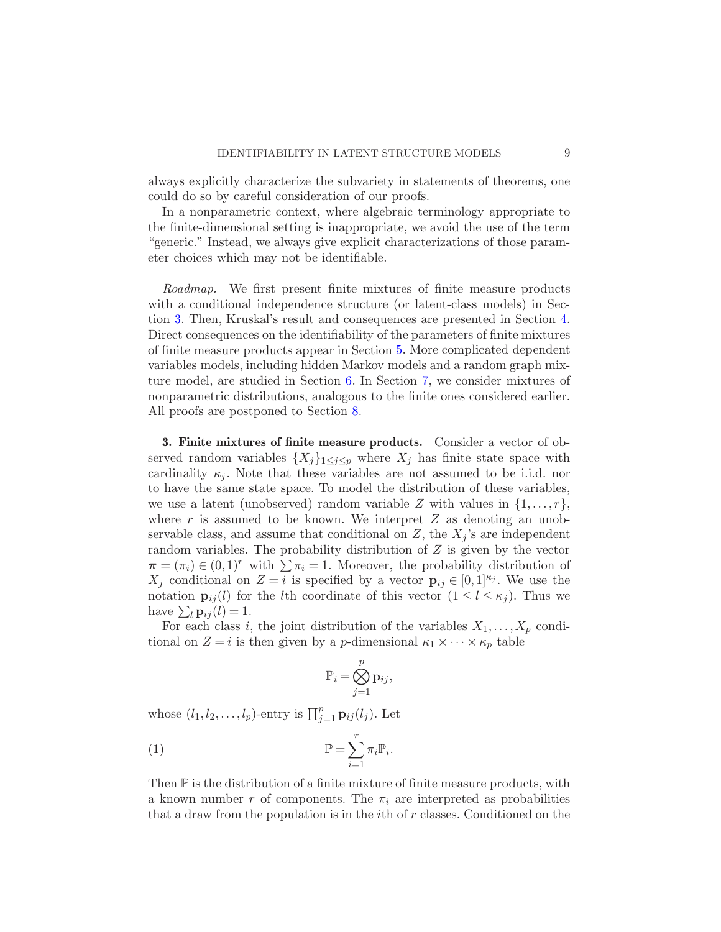always explicitly characterize the subvariety in statements of theorems, one could do so by careful consideration of our proofs.

In a nonparametric context, where algebraic terminology appropriate to the finite-dimensional setting is inappropriate, we avoid the use of the term "generic." Instead, we always give explicit characterizations of those parameter choices which may not be identifiable.

Roadmap. We first present finite mixtures of finite measure products with a conditional independence structure (or latent-class models) in Section [3.](#page-8-0) Then, Kruskal's result and consequences are presented in Section [4.](#page-9-0) Direct consequences on the identifiability of the parameters of finite mixtures of finite measure products appear in Section [5.](#page-11-0) More complicated dependent variables models, including hidden Markov models and a random graph mixture model, are studied in Section [6.](#page-13-1) In Section [7,](#page-17-1) we consider mixtures of nonparametric distributions, analogous to the finite ones considered earlier. All proofs are postponed to Section [8.](#page-20-0)

<span id="page-8-0"></span>3. Finite mixtures of finite measure products. Consider a vector of observed random variables  $\{X_j\}_{1\leq j\leq p}$  where  $X_j$  has finite state space with cardinality  $\kappa_i$ . Note that these variables are not assumed to be i.i.d. nor to have the same state space. To model the distribution of these variables, we use a latent (unobserved) random variable Z with values in  $\{1, \ldots, r\}$ , where  $r$  is assumed to be known. We interpret  $Z$  as denoting an unobservable class, and assume that conditional on Z, the  $X_i$ 's are independent random variables. The probability distribution of  $Z$  is given by the vector  $\pi = (\pi_i) \in (0,1)^r$  with  $\sum \pi_i = 1$ . Moreover, the probability distribution of  $X_j$  conditional on  $Z = i$  is specified by a vector  $\mathbf{p}_{ij} \in [0,1]^{\kappa_j}$ . We use the notation  $\mathbf{p}_{ij}(l)$  for the lth coordinate of this vector  $(1 \leq l \leq \kappa_i)$ . Thus we have  $\sum_l \mathbf{p}_{ij}(l) = 1$ .

For each class i, the joint distribution of the variables  $X_1, \ldots, X_p$  conditional on  $Z = i$  is then given by a *p*-dimensional  $\kappa_1 \times \cdots \times \kappa_p$  table

<span id="page-8-1"></span>
$$
\mathbb{P}_i = \bigotimes_{j=1}^p \mathbf{p}_{ij},
$$

whose  $(l_1, l_2, \ldots, l_p)$ -entry is  $\prod_{j=1}^p \mathbf{p}_{ij}(l_j)$ . Let

(1) 
$$
\mathbb{P} = \sum_{i=1}^r \pi_i \mathbb{P}_i.
$$

Then P is the distribution of a finite mixture of finite measure products, with a known number r of components. The  $\pi_i$  are interpreted as probabilities that a draw from the population is in the  $i$ th of  $r$  classes. Conditioned on the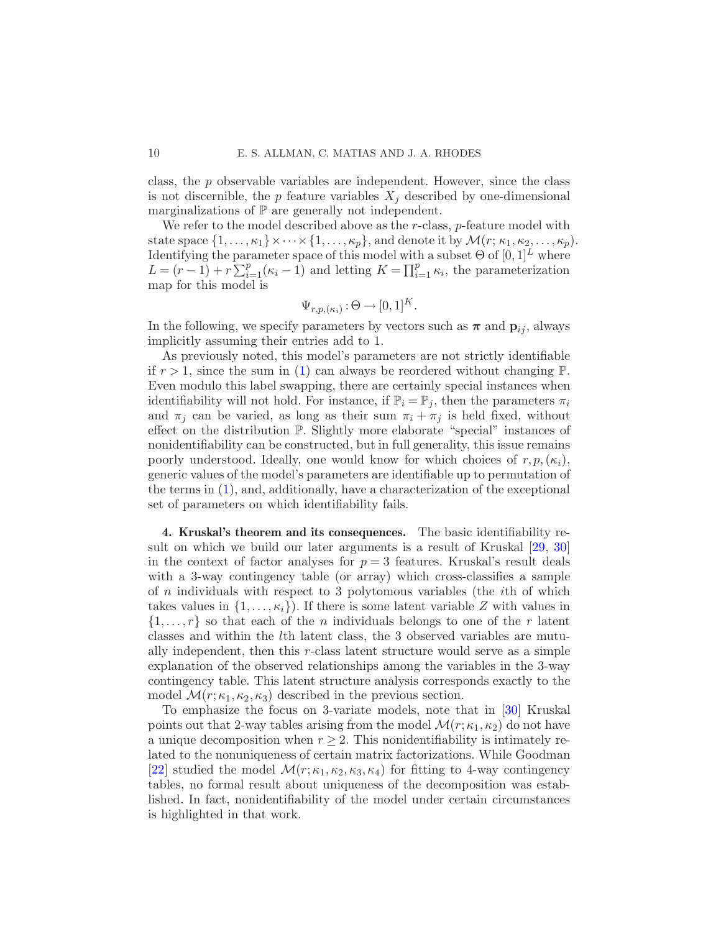class, the  $p$  observable variables are independent. However, since the class is not discernible, the p feature variables  $X_i$  described by one-dimensional marginalizations of P are generally not independent.

We refer to the model described above as the  $r$ -class,  $p$ -feature model with state space  $\{1,\ldots,\kappa_1\}\times\cdots\times\{1,\ldots,\kappa_p\}$ , and denote it by  $\mathcal{M}(r;\kappa_1,\kappa_2,\ldots,\kappa_p)$ . Identifying the parameter space of this model with a subset  $\Theta$  of  $[0,1]^L$  where  $L = (r-1) + r \sum_{i=1}^{p} (\kappa_i - 1)$  and letting  $K = \prod_{i=1}^{p} \kappa_i$ , the parameterization map for this model is

$$
\Psi_{r,p,(\kappa_i)} : \Theta \to [0,1]^K.
$$

In the following, we specify parameters by vectors such as  $\pi$  and  $p_{ij}$ , always implicitly assuming their entries add to 1.

As previously noted, this model's parameters are not strictly identifiable if  $r > 1$ , since the sum in [\(1\)](#page-8-1) can always be reordered without changing  $\mathbb{P}$ . Even modulo this label swapping, there are certainly special instances when identifiability will not hold. For instance, if  $\mathbb{P}_i = \mathbb{P}_j$ , then the parameters  $\pi_i$ and  $\pi_j$  can be varied, as long as their sum  $\pi_i + \pi_j$  is held fixed, without effect on the distribution P. Slightly more elaborate "special" instances of nonidentifiability can be constructed, but in full generality, this issue remains poorly understood. Ideally, one would know for which choices of  $r, p, (\kappa_i)$ , generic values of the model's parameters are identifiable up to permutation of the terms in [\(1\)](#page-8-1), and, additionally, have a characterization of the exceptional set of parameters on which identifiability fails.

<span id="page-9-0"></span>4. Kruskal's theorem and its consequences. The basic identifiability result on which we build our later arguments is a result of Kruskal [\[29](#page-34-1), [30](#page-34-2)] in the context of factor analyses for  $p = 3$  features. Kruskal's result deals with a 3-way contingency table (or array) which cross-classifies a sample of n individuals with respect to 3 polytomous variables (the ith of which takes values in  $\{1,\ldots,\kappa_i\}$ . If there is some latent variable Z with values in  $\{1, \ldots, r\}$  so that each of the *n* individuals belongs to one of the *r* latent classes and within the lth latent class, the 3 observed variables are mutually independent, then this r-class latent structure would serve as a simple explanation of the observed relationships among the variables in the 3-way contingency table. This latent structure analysis corresponds exactly to the model  $\mathcal{M}(r; \kappa_1, \kappa_2, \kappa_3)$  described in the previous section.

To emphasize the focus on 3-variate models, note that in [\[30\]](#page-34-2) Kruskal points out that 2-way tables arising from the model  $\mathcal{M}(r;\kappa_1,\kappa_2)$  do not have a unique decomposition when  $r \geq 2$ . This nonidentifiability is intimately related to the nonuniqueness of certain matrix factorizations. While Goodman [\[22\]](#page-33-3) studied the model  $\mathcal{M}(r;\kappa_1,\kappa_2,\kappa_3,\kappa_4)$  for fitting to 4-way contingency tables, no formal result about uniqueness of the decomposition was established. In fact, nonidentifiability of the model under certain circumstances is highlighted in that work.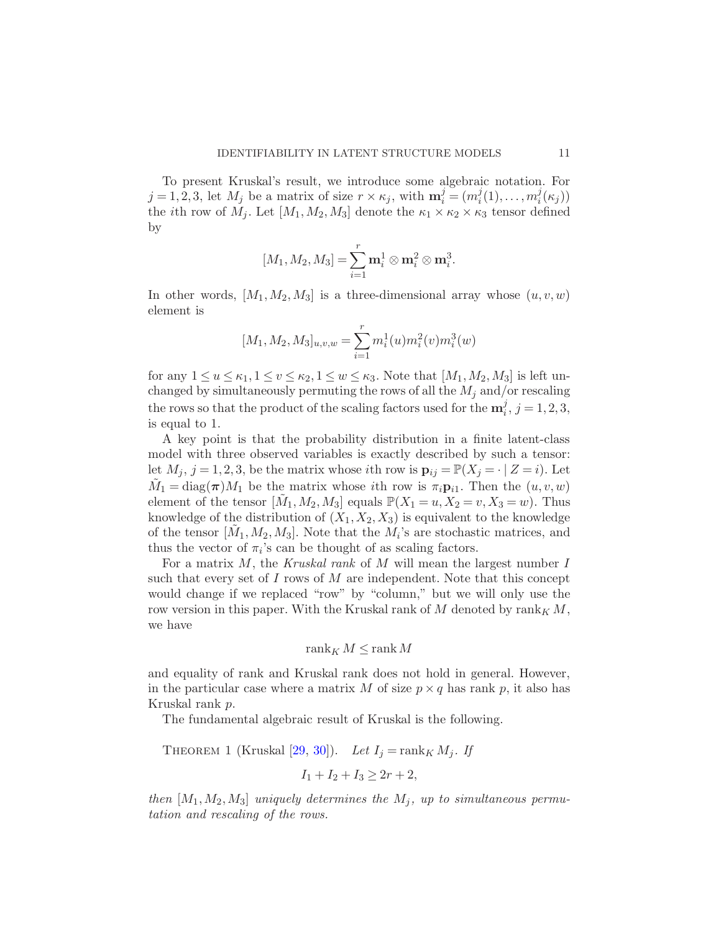To present Kruskal's result, we introduce some algebraic notation. For  $j = 1, 2, 3$ , let  $M_j$  be a matrix of size  $r \times \kappa_j$ , with  $\mathbf{m}_i^j = (m_i^j)$  $i^j(1), \ldots, m_i^j$  $\binom{J}{i}(\kappa_j)$ the *i*th row of  $M_i$ . Let  $[M_1, M_2, M_3]$  denote the  $\kappa_1 \times \kappa_2 \times \kappa_3$  tensor defined by

$$
[M_1, M_2, M_3] = \sum_{i=1}^r \mathbf{m}_i^1 \otimes \mathbf{m}_i^2 \otimes \mathbf{m}_i^3.
$$

In other words,  $[M_1, M_2, M_3]$  is a three-dimensional array whose  $(u, v, w)$ element is

$$
[M_1, M_2, M_3]_{u,v,w} = \sum_{i=1}^r m_i^1(u) m_i^2(v) m_i^3(w)
$$

for any  $1 \le u \le \kappa_1, 1 \le v \le \kappa_2, 1 \le w \le \kappa_3$ . Note that  $[M_1, M_2, M_3]$  is left unchanged by simultaneously permuting the rows of all the  $M_j$  and/or rescaling the rows so that the product of the scaling factors used for the  $m_i^j$  $j<sub>i</sub>$ ,  $j = 1, 2, 3,$ is equal to 1.

A key point is that the probability distribution in a finite latent-class model with three observed variables is exactly described by such a tensor: let  $M_j$ ,  $j = 1, 2, 3$ , be the matrix whose *i*th row is  $\mathbf{p}_{ij} = \mathbb{P}(X_j = \cdot | Z = i)$ . Let  $\tilde{M}_1 = \text{diag}(\boldsymbol{\pi}) M_1$  be the matrix whose *i*th row is  $\pi_i \mathbf{p}_{i1}$ . Then the  $(u, v, w)$ element of the tensor  $[\tilde{M}_1, M_2, M_3]$  equals  $\mathbb{P}(X_1 = u, X_2 = v, X_3 = w)$ . Thus knowledge of the distribution of  $(X_1, X_2, X_3)$  is equivalent to the knowledge of the tensor  $[\tilde{M}_1, M_2, M_3]$ . Note that the  $M_i$ 's are stochastic matrices, and thus the vector of  $\pi_i$ 's can be thought of as scaling factors.

For a matrix  $M$ , the Kruskal rank of  $M$  will mean the largest number  $I$ such that every set of  $I$  rows of  $M$  are independent. Note that this concept would change if we replaced "row" by "column," but we will only use the row version in this paper. With the Kruskal rank of M denoted by  $\operatorname{rank}_K M$ , we have

$$
\operatorname{rank}_K M \leq \operatorname{rank} M
$$

and equality of rank and Kruskal rank does not hold in general. However, in the particular case where a matrix M of size  $p \times q$  has rank p, it also has Kruskal rank p.

The fundamental algebraic result of Kruskal is the following.

THEOREM 1 (Kruskal [\[29](#page-34-1), [30](#page-34-2)]). Let  $I_j = \text{rank}_K M_j$ . If

$$
I_1 + I_2 + I_3 \ge 2r + 2,
$$

then  $[M_1,M_2,M_3]$  uniquely determines the  $M_j$ , up to simultaneous permutation and rescaling of the rows.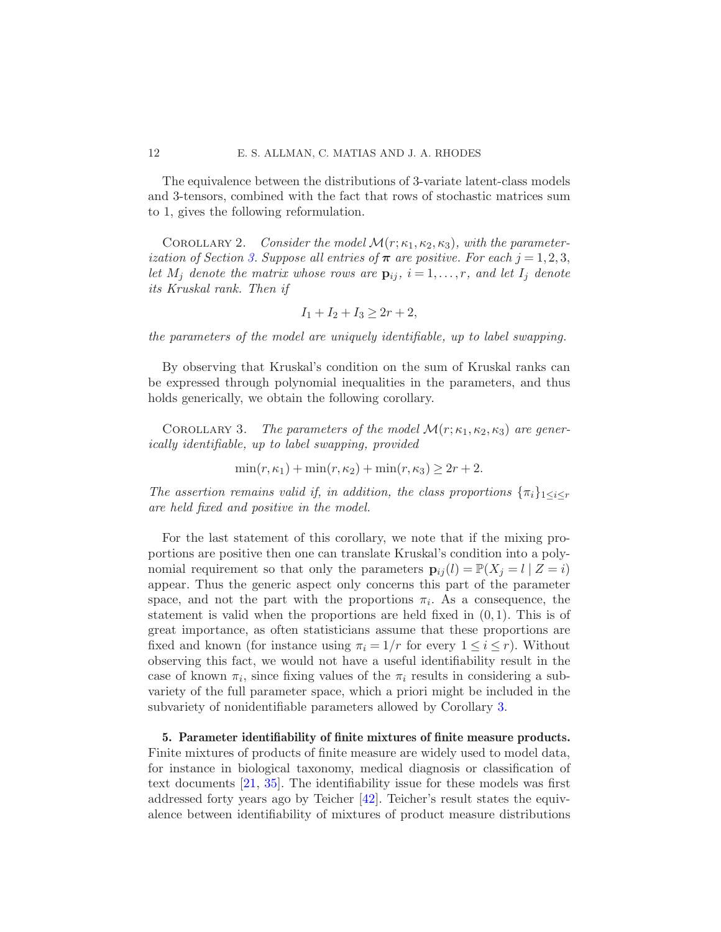The equivalence between the distributions of 3-variate latent-class models and 3-tensors, combined with the fact that rows of stochastic matrices sum to 1, gives the following reformulation.

COROLLARY 2. Consider the model  $\mathcal{M}(r;\kappa_1,\kappa_2,\kappa_3)$ , with the parameter-ization of Section [3.](#page-8-0) Suppose all entries of  $\pi$  are positive. For each  $j = 1, 2, 3$ , let  $M_j$  denote the matrix whose rows are  $\mathbf{p}_{ij}$ ,  $i = 1, \ldots, r$ , and let  $I_j$  denote its Kruskal rank. Then if

<span id="page-11-2"></span><span id="page-11-1"></span>
$$
I_1 + I_2 + I_3 \ge 2r + 2,
$$

the parameters of the model are uniquely identifiable, up to label swapping.

By observing that Kruskal's condition on the sum of Kruskal ranks can be expressed through polynomial inequalities in the parameters, and thus holds generically, we obtain the following corollary.

COROLLARY 3. The parameters of the model  $\mathcal{M}(r;\kappa_1,\kappa_2,\kappa_3)$  are generically identifiable, up to label swapping, provided

$$
\min(r, \kappa_1) + \min(r, \kappa_2) + \min(r, \kappa_3) \ge 2r + 2.
$$

The assertion remains valid if, in addition, the class proportions  $\{\pi_i\}_{1\leq i\leq r}$ are held fixed and positive in the model.

For the last statement of this corollary, we note that if the mixing proportions are positive then one can translate Kruskal's condition into a polynomial requirement so that only the parameters  $\mathbf{p}_{ij}(l) = \mathbb{P}(X_j = l \mid Z = i)$ appear. Thus the generic aspect only concerns this part of the parameter space, and not the part with the proportions  $\pi_i$ . As a consequence, the statement is valid when the proportions are held fixed in  $(0, 1)$ . This is of great importance, as often statisticians assume that these proportions are fixed and known (for instance using  $\pi_i = 1/r$  for every  $1 \leq i \leq r$ ). Without observing this fact, we would not have a useful identifiability result in the case of known  $\pi_i$ , since fixing values of the  $\pi_i$  results in considering a subvariety of the full parameter space, which a priori might be included in the subvariety of nonidentifiable parameters allowed by Corollary [3.](#page-11-1)

<span id="page-11-0"></span>5. Parameter identifiability of finite mixtures of finite measure products. Finite mixtures of products of finite measure are widely used to model data, for instance in biological taxonomy, medical diagnosis or classification of text documents [\[21,](#page-33-15) [35](#page-34-9)]. The identifiability issue for these models was first addressed forty years ago by Teicher [\[42\]](#page-34-10). Teicher's result states the equivalence between identifiability of mixtures of product measure distributions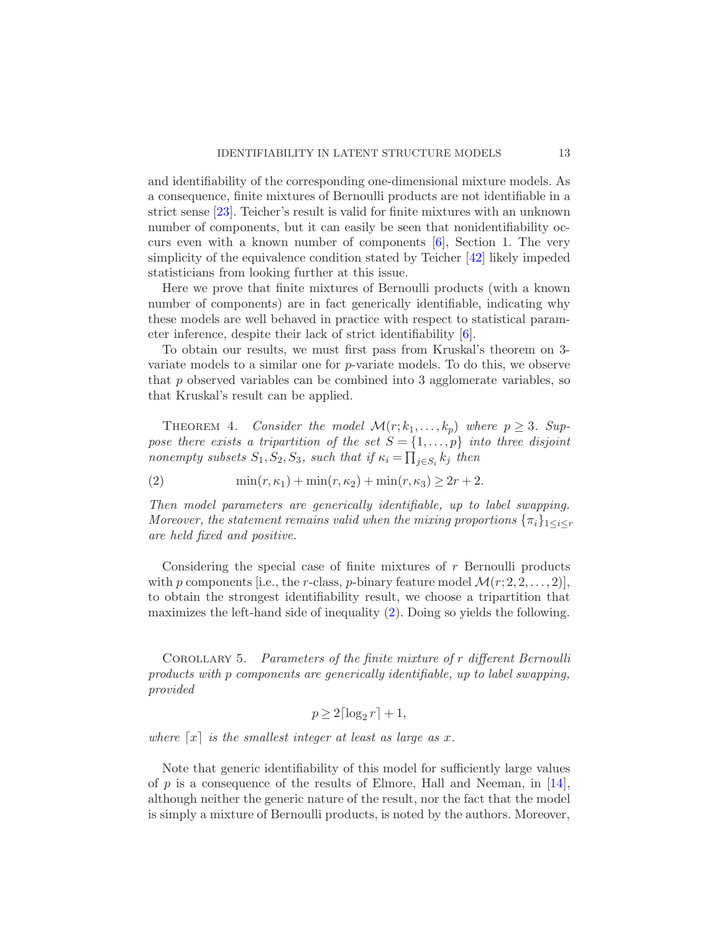and identifiability of the corresponding one-dimensional mixture models. As a consequence, finite mixtures of Bernoulli products are not identifiable in a strict sense [\[23](#page-33-1)]. Teicher's result is valid for finite mixtures with an unknown number of components, but it can easily be seen that nonidentifiability occurs even with a known number of components [\[6](#page-33-2)], Section 1. The very simplicity of the equivalence condition stated by Teicher [\[42](#page-34-10)] likely impeded statisticians from looking further at this issue.

Here we prove that finite mixtures of Bernoulli products (with a known number of components) are in fact generically identifiable, indicating why these models are well behaved in practice with respect to statistical parameter inference, despite their lack of strict identifiability [\[6](#page-33-2)].

To obtain our results, we must first pass from Kruskal's theorem on 3 variate models to a similar one for  $p$ -variate models. To do this, we observe that  $p$  observed variables can be combined into 3 agglomerate variables, so that Kruskal's result can be applied.

<span id="page-12-2"></span>THEOREM 4. Consider the model  $\mathcal{M}(r; k_1, \ldots, k_p)$  where  $p \geq 3$ . Suppose there exists a tripartition of the set  $S = \{1, \ldots, p\}$  into three disjoint nonempty subsets  $S_1, S_2, S_3$ , such that if  $\kappa_i = \prod_{j \in S_i} k_j$  then

<span id="page-12-1"></span>(2)  $\min(r, \kappa_1) + \min(r, \kappa_2) + \min(r, \kappa_3) \ge 2r + 2.$ 

Then model parameters are generically identifiable, up to label swapping. Moreover, the statement remains valid when the mixing proportions  $\{\pi_i\}_{1 \leq i \leq r}$ are held fixed and positive.

Considering the special case of finite mixtures of r Bernoulli products with p components [i.e., the r-class, p-binary feature model  $\mathcal{M}(r; 2, 2, \ldots, 2)$ ], to obtain the strongest identifiability result, we choose a tripartition that maximizes the left-hand side of inequality [\(2\)](#page-12-1). Doing so yields the following.

<span id="page-12-0"></span>Corollary 5. Parameters of the finite mixture of r different Bernoulli products with p components are generically identifiable, up to label swapping, provided

$$
p \ge 2\lceil \log_2 r \rceil + 1,
$$

where  $\lceil x \rceil$  is the smallest integer at least as large as x.

Note that generic identifiability of this model for sufficiently large values of p is a consequence of the results of Elmore, Hall and Neeman, in  $[14]$  $[14]$ , although neither the generic nature of the result, nor the fact that the model is simply a mixture of Bernoulli products, is noted by the authors. Moreover,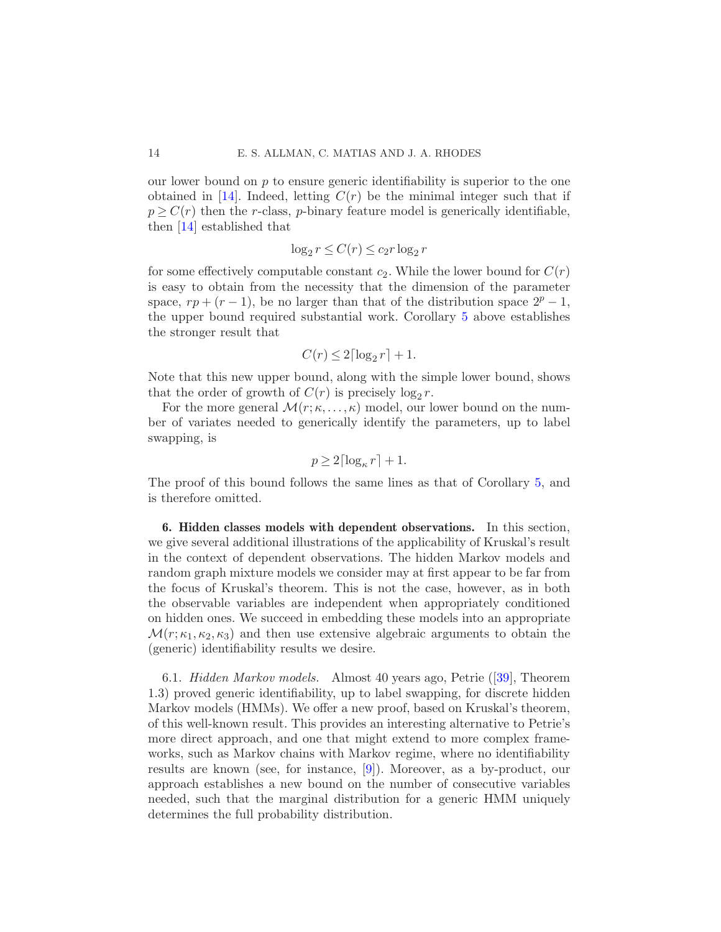our lower bound on  $p$  to ensure generic identifiability is superior to the one obtained in [\[14](#page-33-8)]. Indeed, letting  $C(r)$  be the minimal integer such that if  $p \geq C(r)$  then the r-class, p-binary feature model is generically identifiable, then [\[14](#page-33-8)] established that

$$
\log_2 r \le C(r) \le c_2 r \log_2 r
$$

for some effectively computable constant  $c_2$ . While the lower bound for  $C(r)$ is easy to obtain from the necessity that the dimension of the parameter space,  $rp + (r - 1)$ , be no larger than that of the distribution space  $2^p - 1$ , the upper bound required substantial work. Corollary [5](#page-12-0) above establishes the stronger result that

$$
C(r) \le 2\lceil \log_2 r \rceil + 1.
$$

Note that this new upper bound, along with the simple lower bound, shows that the order of growth of  $C(r)$  is precisely  $\log_2 r$ .

For the more general  $\mathcal{M}(r;\kappa,\ldots,\kappa)$  model, our lower bound on the number of variates needed to generically identify the parameters, up to label swapping, is

$$
p \ge 2\lceil \log_{\kappa} r \rceil + 1.
$$

The proof of this bound follows the same lines as that of Corollary [5,](#page-12-0) and is therefore omitted.

<span id="page-13-1"></span>6. Hidden classes models with dependent observations. In this section, we give several additional illustrations of the applicability of Kruskal's result in the context of dependent observations. The hidden Markov models and random graph mixture models we consider may at first appear to be far from the focus of Kruskal's theorem. This is not the case, however, as in both the observable variables are independent when appropriately conditioned on hidden ones. We succeed in embedding these models into an appropriate  $\mathcal{M}(r;\kappa_1,\kappa_2,\kappa_3)$  and then use extensive algebraic arguments to obtain the (generic) identifiability results we desire.

<span id="page-13-0"></span>6.1. Hidden Markov models. Almost 40 years ago, Petrie ([\[39\]](#page-34-0), Theorem 1.3) proved generic identifiability, up to label swapping, for discrete hidden Markov models (HMMs). We offer a new proof, based on Kruskal's theorem, of this well-known result. This provides an interesting alternative to Petrie's more direct approach, and one that might extend to more complex frameworks, such as Markov chains with Markov regime, where no identifiability results are known (see, for instance, [\[9](#page-33-16)]). Moreover, as a by-product, our approach establishes a new bound on the number of consecutive variables needed, such that the marginal distribution for a generic HMM uniquely determines the full probability distribution.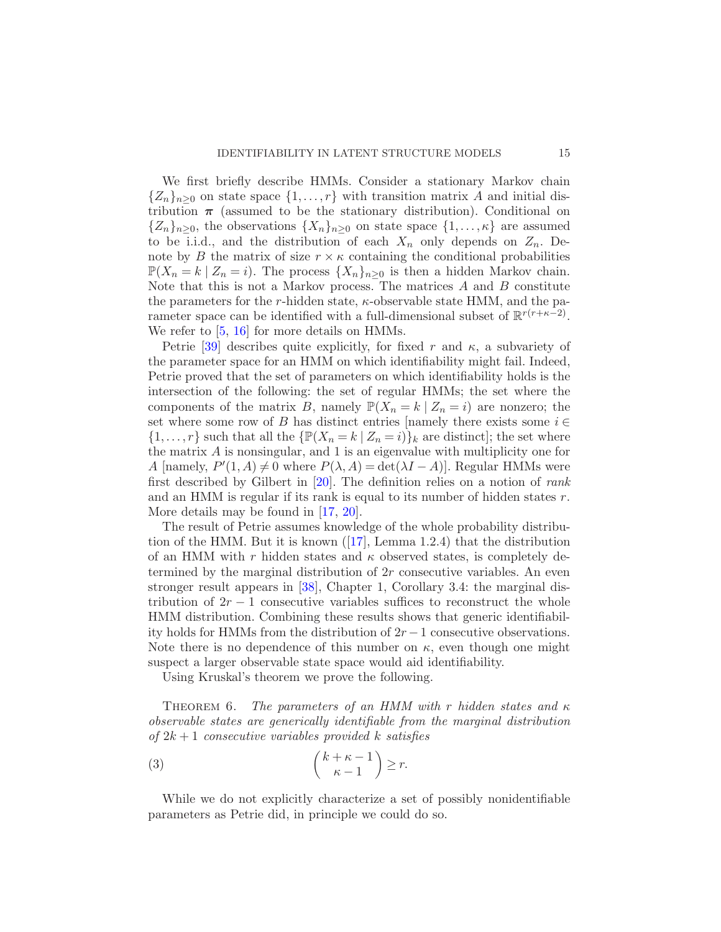We first briefly describe HMMs. Consider a stationary Markov chain  ${Z_n}_{n>0}$  on state space  ${1, \ldots, r}$  with transition matrix A and initial distribution  $\pi$  (assumed to be the stationary distribution). Conditional on  ${Z_n}_{n>0}$ , the observations  ${X_n}_{n>0}$  on state space  ${1,\ldots,\kappa}$  are assumed to be i.i.d., and the distribution of each  $X_n$  only depends on  $Z_n$ . Denote by B the matrix of size  $r \times \kappa$  containing the conditional probabilities  $\mathbb{P}(X_n = k | Z_n = i)$ . The process  $\{X_n\}_{n\geq 0}$  is then a hidden Markov chain. Note that this is not a Markov process. The matrices  $A$  and  $B$  constitute the parameters for the r-hidden state,  $\kappa$ -observable state HMM, and the parameter space can be identified with a full-dimensional subset of  $\mathbb{R}^{r(r+\kappa-2)}$ . We refer to [\[5,](#page-32-0) [16](#page-33-0)] for more details on HMMs.

Petrie [\[39\]](#page-34-0) describes quite explicitly, for fixed r and  $\kappa$ , a subvariety of the parameter space for an HMM on which identifiability might fail. Indeed, Petrie proved that the set of parameters on which identifiability holds is the intersection of the following: the set of regular HMMs; the set where the components of the matrix B, namely  $\mathbb{P}(X_n = k | Z_n = i)$  are nonzero; the set where some row of B has distinct entries [namely there exists some  $i \in$  $\{1,\ldots,r\}$  such that all the  $\{\mathbb{P}(X_n = k \mid Z_n = i)\}_k$  are distinct]; the set where the matrix  $A$  is nonsingular, and 1 is an eigenvalue with multiplicity one for A [namely,  $P'(1, A) \neq 0$  where  $P(\lambda, A) = \det(\lambda I - A)$ ]. Regular HMMs were first described by Gilbert in  $[20]$ . The definition relies on a notion of *rank* and an HMM is regular if its rank is equal to its number of hidden states r. More details may be found in [\[17](#page-33-18), [20\]](#page-33-17).

The result of Petrie assumes knowledge of the whole probability distribution of the HMM. But it is known ([\[17](#page-33-18)], Lemma 1.2.4) that the distribution of an HMM with r hidden states and  $\kappa$  observed states, is completely determined by the marginal distribution of  $2r$  consecutive variables. An even stronger result appears in [\[38](#page-34-11)], Chapter 1, Corollary 3.4: the marginal distribution of  $2r - 1$  consecutive variables suffices to reconstruct the whole HMM distribution. Combining these results shows that generic identifiability holds for HMMs from the distribution of  $2r - 1$  consecutive observations. Note there is no dependence of this number on  $\kappa$ , even though one might suspect a larger observable state space would aid identifiability.

<span id="page-14-0"></span>Using Kruskal's theorem we prove the following.

THEOREM 6. The parameters of an HMM with r hidden states and  $\kappa$ observable states are generically identifiable from the marginal distribution of  $2k+1$  consecutive variables provided k satisfies

<span id="page-14-1"></span>(3) 
$$
\binom{k+\kappa-1}{\kappa-1} \geq r.
$$

While we do not explicitly characterize a set of possibly nonidentifiable parameters as Petrie did, in principle we could do so.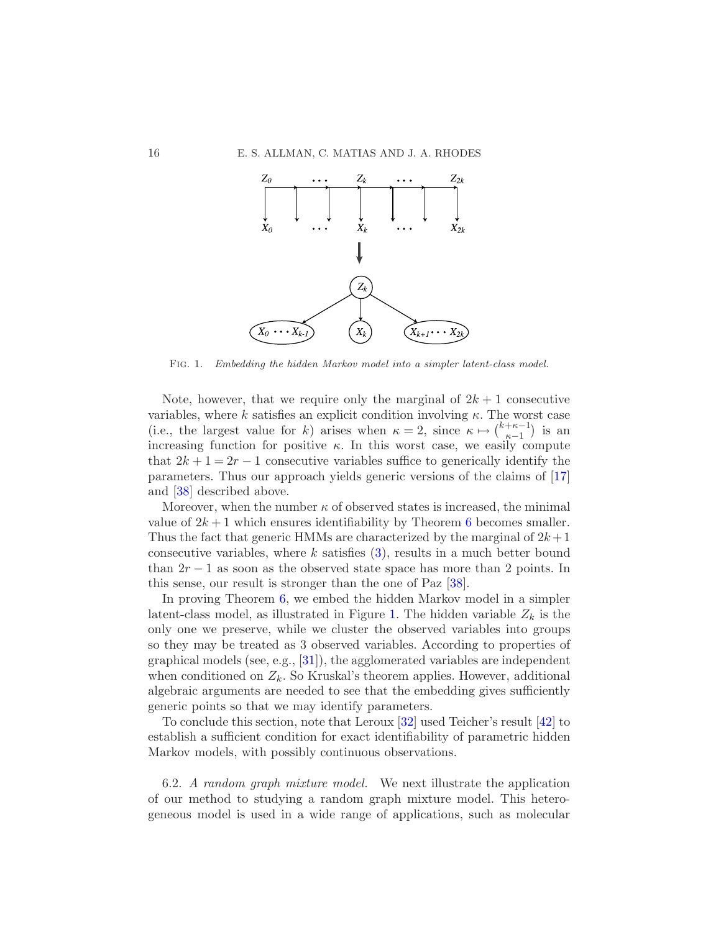

<span id="page-15-1"></span>Fig. 1. Embedding the hidden Markov model into a simpler latent-class model.

Note, however, that we require only the marginal of  $2k + 1$  consecutive variables, where k satisfies an explicit condition involving  $\kappa$ . The worst case (i.e., the largest value for k) arises when  $\kappa = 2$ , since  $\kappa \mapsto {\kappa + \kappa - 1 \choose \kappa - 1}$  is an increasing function for positive  $\kappa$ . In this worst case, we easily compute that  $2k+1=2r-1$  consecutive variables suffice to generically identify the parameters. Thus our approach yields generic versions of the claims of [\[17](#page-33-18)] and [\[38\]](#page-34-11) described above.

Moreover, when the number  $\kappa$  of observed states is increased, the minimal value of  $2k+1$  which ensures identifiability by Theorem [6](#page-14-0) becomes smaller. Thus the fact that generic HMMs are characterized by the marginal of  $2k+1$ consecutive variables, where k satisfies  $(3)$ , results in a much better bound than  $2r - 1$  as soon as the observed state space has more than 2 points. In this sense, our result is stronger than the one of Paz [\[38](#page-34-11)].

In proving Theorem [6,](#page-14-0) we embed the hidden Markov model in a simpler latent-class model, as illustrated in Figure [1.](#page-15-1) The hidden variable  $Z_k$  is the only one we preserve, while we cluster the observed variables into groups so they may be treated as 3 observed variables. According to properties of graphical models (see, e.g.,  $[31]$ ), the agglomerated variables are independent when conditioned on  $Z_k$ . So Kruskal's theorem applies. However, additional algebraic arguments are needed to see that the embedding gives sufficiently generic points so that we may identify parameters.

To conclude this section, note that Leroux [\[32](#page-34-13)] used Teicher's result [\[42](#page-34-10)] to establish a sufficient condition for exact identifiability of parametric hidden Markov models, with possibly continuous observations.

<span id="page-15-0"></span>6.2. A random graph mixture model. We next illustrate the application of our method to studying a random graph mixture model. This heterogeneous model is used in a wide range of applications, such as molecular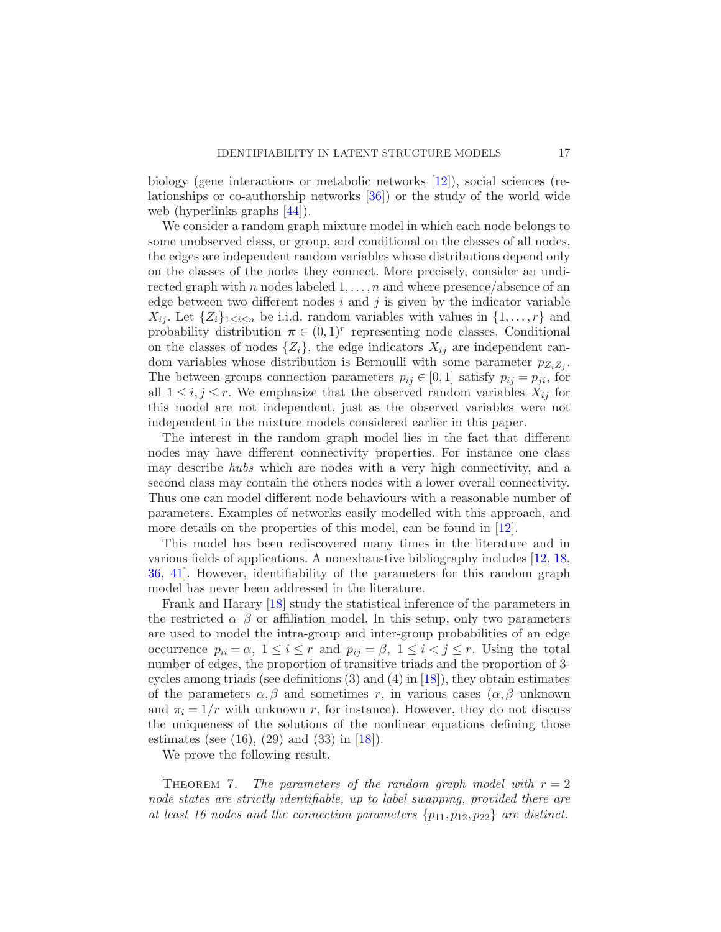biology (gene interactions or metabolic networks [\[12](#page-33-19)]), social sciences (relationships or co-authorship networks [\[36](#page-34-14)]) or the study of the world wide web (hyperlinks graphs [\[44](#page-34-15)]).

We consider a random graph mixture model in which each node belongs to some unobserved class, or group, and conditional on the classes of all nodes, the edges are independent random variables whose distributions depend only on the classes of the nodes they connect. More precisely, consider an undirected graph with n nodes labeled  $1, \ldots, n$  and where presence/absence of an edge between two different nodes  $i$  and  $j$  is given by the indicator variable  $X_{ij}$ . Let  $\{Z_i\}_{1\leq i\leq n}$  be i.i.d. random variables with values in  $\{1,\ldots,r\}$  and probability distribution  $\boldsymbol{\pi} \in (0,1)^r$  representing node classes. Conditional on the classes of nodes  $\{Z_i\}$ , the edge indicators  $X_{ij}$  are independent random variables whose distribution is Bernoulli with some parameter  $p_{Z_i Z_j}$ . The between-groups connection parameters  $p_{ij} \in [0,1]$  satisfy  $p_{ij} = p_{ji}$ , for all  $1 \leq i, j \leq r$ . We emphasize that the observed random variables  $X_{ij}$  for this model are not independent, just as the observed variables were not independent in the mixture models considered earlier in this paper.

The interest in the random graph model lies in the fact that different nodes may have different connectivity properties. For instance one class may describe hubs which are nodes with a very high connectivity, and a second class may contain the others nodes with a lower overall connectivity. Thus one can model different node behaviours with a reasonable number of parameters. Examples of networks easily modelled with this approach, and more details on the properties of this model, can be found in [\[12](#page-33-19)].

This model has been rediscovered many times in the literature and in various fields of applications. A nonexhaustive bibliography includes [\[12](#page-33-19), [18](#page-33-20), [36,](#page-34-14) [41\]](#page-34-16). However, identifiability of the parameters for this random graph model has never been addressed in the literature.

Frank and Harary [\[18](#page-33-20)] study the statistical inference of the parameters in the restricted  $\alpha-\beta$  or affiliation model. In this setup, only two parameters are used to model the intra-group and inter-group probabilities of an edge occurrence  $p_{ii} = \alpha$ ,  $1 \le i \le r$  and  $p_{ij} = \beta$ ,  $1 \le i \le j \le r$ . Using the total number of edges, the proportion of transitive triads and the proportion of 3 cycles among triads (see definitions  $(3)$  and  $(4)$  in [\[18\]](#page-33-20)), they obtain estimates of the parameters  $\alpha, \beta$  and sometimes r, in various cases  $(\alpha, \beta$  unknown and  $\pi_i = 1/r$  with unknown r, for instance). However, they do not discuss the uniqueness of the solutions of the nonlinear equations defining those estimates (see  $(16)$ ,  $(29)$  and  $(33)$  in  $[18]$ ).

<span id="page-16-0"></span>We prove the following result.

THEOREM 7. The parameters of the random graph model with  $r = 2$ node states are strictly identifiable, up to label swapping, provided there are at least 16 nodes and the connection parameters  $\{p_{11}, p_{12}, p_{22}\}$  are distinct.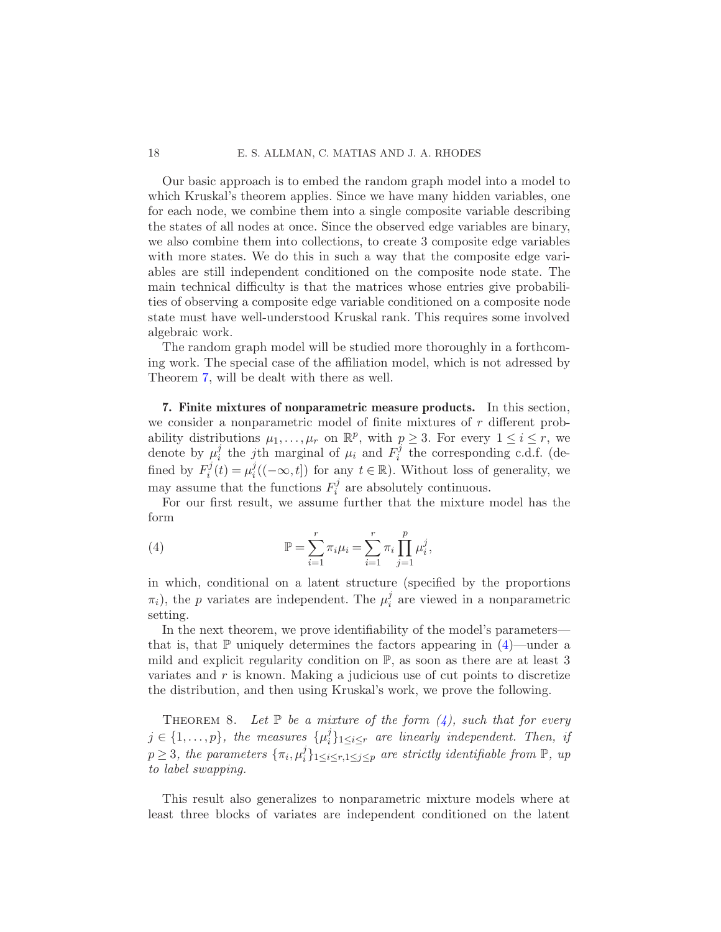#### 18 E. S. ALLMAN, C. MATIAS AND J. A. RHODES

Our basic approach is to embed the random graph model into a model to which Kruskal's theorem applies. Since we have many hidden variables, one for each node, we combine them into a single composite variable describing the states of all nodes at once. Since the observed edge variables are binary, we also combine them into collections, to create 3 composite edge variables with more states. We do this in such a way that the composite edge variables are still independent conditioned on the composite node state. The main technical difficulty is that the matrices whose entries give probabilities of observing a composite edge variable conditioned on a composite node state must have well-understood Kruskal rank. This requires some involved algebraic work.

The random graph model will be studied more thoroughly in a forthcoming work. The special case of the affiliation model, which is not adressed by Theorem [7,](#page-16-0) will be dealt with there as well.

<span id="page-17-1"></span>7. Finite mixtures of nonparametric measure products. In this section, we consider a nonparametric model of finite mixtures of  $r$  different probability distributions  $\mu_1, \ldots, \mu_r$  on  $\mathbb{R}^p$ , with  $p \geq 3$ . For every  $1 \leq i \leq r$ , we denote by  $\mu_i^j$  $i_i$  the j<sup>th</sup> marginal of  $\mu_i$  and  $F_i^{\hat{j}}$  $i$ <sup>t</sup> the corresponding c.d.f. (defined by  $F_i^j$  $\mu_i^j(t) = \mu_i^j$  $i((-\infty, t])$  for any  $t \in \mathbb{R}$ ). Without loss of generality, we may assume that the functions  $F_i^j$  $i_i^j$  are absolutely continuous.

For our first result, we assume further that the mixture model has the form

<span id="page-17-2"></span>(4) 
$$
\mathbb{P} = \sum_{i=1}^{r} \pi_i \mu_i = \sum_{i=1}^{r} \pi_i \prod_{j=1}^{p} \mu_i^j,
$$

in which, conditional on a latent structure (specified by the proportions  $\pi_i$ ), the p variates are independent. The  $\mu_i^j$  $i$  are viewed in a nonparametric setting.

In the next theorem, we prove identifiability of the model's parameters that is, that  $\mathbb P$  uniquely determines the factors appearing in [\(4\)](#page-17-2)—under a mild and explicit regularity condition on P, as soon as there are at least 3 variates and  $r$  is known. Making a judicious use of cut points to discretize the distribution, and then using Kruskal's work, we prove the following.

<span id="page-17-0"></span>THEOREM 8. Let  $\mathbb P$  be a mixture of the form  $(4)$ , such that for every  $j \in \{1, \ldots, p\}$ , the measures  $\{\mu_i^j\}$  $\{G_i\}_{1\leq i\leq r}$  are linearly independent. Then, if  $p \geq 3$ , the parameters  $\{\pi_i, \mu_i^j\}$  $\{f_i\}_{1 \leq i \leq r, 1 \leq j \leq p}$  are strictly identifiable from  $\mathbb{P}$ , up to label swapping.

This result also generalizes to nonparametric mixture models where at least three blocks of variates are independent conditioned on the latent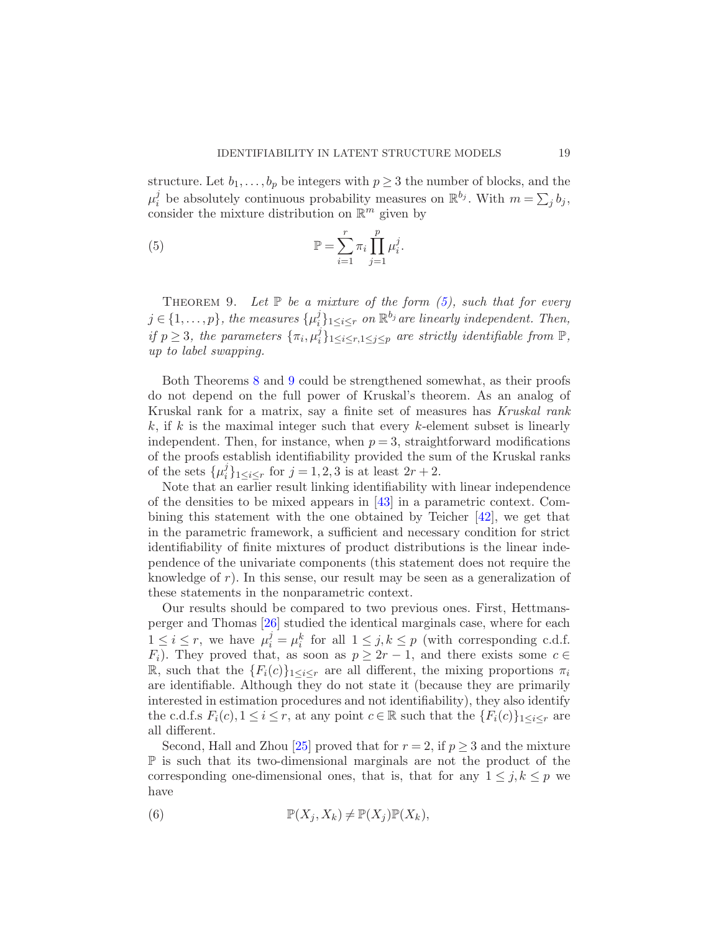structure. Let  $b_1, \ldots, b_p$  be integers with  $p \geq 3$  the number of blocks, and the  $\mu_i^j$  $i$  be absolutely continuous probability measures on  $\mathbb{R}^{b_j}$ . With  $m = \sum_j b_j$ , consider the mixture distribution on  $\mathbb{R}^m$  given by

<span id="page-18-0"></span>(5) 
$$
\mathbb{P} = \sum_{i=1}^r \pi_i \prod_{j=1}^p \mu_i^j.
$$

<span id="page-18-1"></span>THEOREM 9. Let  $\mathbb P$  be a mixture of the form [\(5\)](#page-18-0), such that for every  $j \in \{1, \ldots, p\}$ , the measures  $\{\mu_i^j\}$  $\{e^{j}\}_{1\leq i\leq r}$  on  $\mathbb{R}^{b_j}$  are linearly independent. Then, if  $p \geq 3$ , the parameters  $\{\pi_i, \mu_i^j\}$  $i<sub>i</sub>$ <sub>1≤i≤r,1≤j≤p</sub> are strictly identifiable from  $\mathbb{P}$ , up to label swapping.

Both Theorems [8](#page-17-0) and [9](#page-18-1) could be strengthened somewhat, as their proofs do not depend on the full power of Kruskal's theorem. As an analog of Kruskal rank for a matrix, say a finite set of measures has Kruskal rank  $k$ , if k is the maximal integer such that every k-element subset is linearly independent. Then, for instance, when  $p = 3$ , straightforward modifications of the proofs establish identifiability provided the sum of the Kruskal ranks of the sets  $\{\mu_i^j\}$  $i\}_{1 \leq i \leq r}$  for  $j = 1, 2, 3$  is at least  $2r + 2$ .

Note that an earlier result linking identifiability with linear independence of the densities to be mixed appears in [\[43](#page-34-17)] in a parametric context. Combining this statement with the one obtained by Teicher [\[42](#page-34-10)], we get that in the parametric framework, a sufficient and necessary condition for strict identifiability of finite mixtures of product distributions is the linear independence of the univariate components (this statement does not require the knowledge of r). In this sense, our result may be seen as a generalization of these statements in the nonparametric context.

Our results should be compared to two previous ones. First, Hettmansperger and Thomas [\[26](#page-33-10)] studied the identical marginals case, where for each  $1 \leq i \leq r$ , we have  $\mu_i^j = \mu_i^k$  for all  $1 \leq j, k \leq p$  (with corresponding c.d.f.  $F_i$ ). They proved that, as soon as  $p \geq 2r - 1$ , and there exists some  $c \in$ R, such that the  ${F_i(c)}_{1\leq i\leq r}$  are all different, the mixing proportions  $\pi_i$ are identifiable. Although they do not state it (because they are primarily interested in estimation procedures and not identifiability), they also identify the c.d.f.s  $F_i(c)$ ,  $1 \leq i \leq r$ , at any point  $c \in \mathbb{R}$  such that the  $\{F_i(c)\}_{1 \leq i \leq r}$  are all different.

Second, Hall and Zhou [\[25\]](#page-33-9) proved that for  $r = 2$ , if  $p \geq 3$  and the mixture P is such that its two-dimensional marginals are not the product of the corresponding one-dimensional ones, that is, that for any  $1 \leq j, k \leq p$  we have

<span id="page-18-2"></span>(6) 
$$
\mathbb{P}(X_j, X_k) \neq \mathbb{P}(X_j)\mathbb{P}(X_k),
$$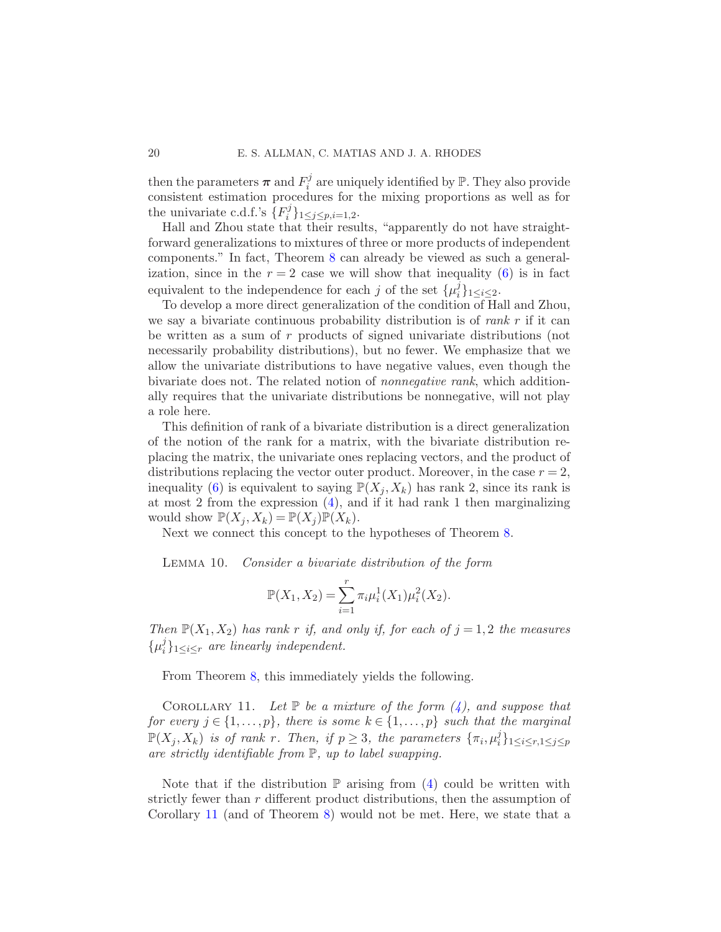then the parameters  $\pi$  and  $F_i^j$  $i$  are uniquely identified by  $\mathbb{P}$ . They also provide consistent estimation procedures for the mixing proportions as well as for the univariate c.d.f.'s  $\overline{\{F_i^j\}}$  $\{y_i^j\}_{1 \leq j \leq p, i=1,2}.$ 

Hall and Zhou state that their results, "apparently do not have straightforward generalizations to mixtures of three or more products of independent components." In fact, Theorem [8](#page-17-0) can already be viewed as such a generalization, since in the  $r = 2$  case we will show that inequality [\(6\)](#page-18-2) is in fact equivalent to the independence for each j of the set  $\{\mu_i^j\}$  $i \brace{1 \leq i \leq 2}$ .

To develop a more direct generalization of the condition of Hall and Zhou, we say a bivariate continuous probability distribution is of rank  $r$  if it can be written as a sum of r products of signed univariate distributions (not necessarily probability distributions), but no fewer. We emphasize that we allow the univariate distributions to have negative values, even though the bivariate does not. The related notion of nonnegative rank, which additionally requires that the univariate distributions be nonnegative, will not play a role here.

This definition of rank of a bivariate distribution is a direct generalization of the notion of the rank for a matrix, with the bivariate distribution replacing the matrix, the univariate ones replacing vectors, and the product of distributions replacing the vector outer product. Moreover, in the case  $r = 2$ , inequality [\(6\)](#page-18-2) is equivalent to saying  $\mathbb{P}(X_i, X_k)$  has rank 2, since its rank is at most 2 from the expression [\(4\)](#page-17-2), and if it had rank 1 then marginalizing would show  $\mathbb{P}(X_i, X_k) = \mathbb{P}(X_i) \mathbb{P}(X_k)$ .

Next we connect this concept to the hypotheses of Theorem [8.](#page-17-0)

Lemma 10. Consider a bivariate distribution of the form

<span id="page-19-1"></span><span id="page-19-0"></span>
$$
\mathbb{P}(X_1, X_2) = \sum_{i=1}^r \pi_i \mu_i^1(X_1) \mu_i^2(X_2).
$$

Then  $\mathbb{P}(X_1, X_2)$  has rank r if, and only if, for each of  $j = 1, 2$  the measures  $\{\mu_i^j\}$  $\{G_i\}_{1\leq i\leq r}$  are linearly independent.

From Theorem [8,](#page-17-0) this immediately yields the following.

COROLLARY 11. Let  $\mathbb P$  be a mixture of the form  $(4)$ , and suppose that for every  $j \in \{1, \ldots, p\}$ , there is some  $k \in \{1, \ldots, p\}$  such that the marginal  $\mathbb{P}(X_j,X_k)$  is of rank r. Then, if  $p\geq 3$ , the parameters  $\{\pi_i,\mu_i^j\}$  $\{i\}}_{1\leq i\leq r,1\leq j\leq p}$ are strictly identifiable from  $\mathbb{P}$ , up to label swapping.

Note that if the distribution  $\mathbb P$  arising from [\(4\)](#page-17-2) could be written with strictly fewer than r different product distributions, then the assumption of Corollary [11](#page-19-0) (and of Theorem [8\)](#page-17-0) would not be met. Here, we state that a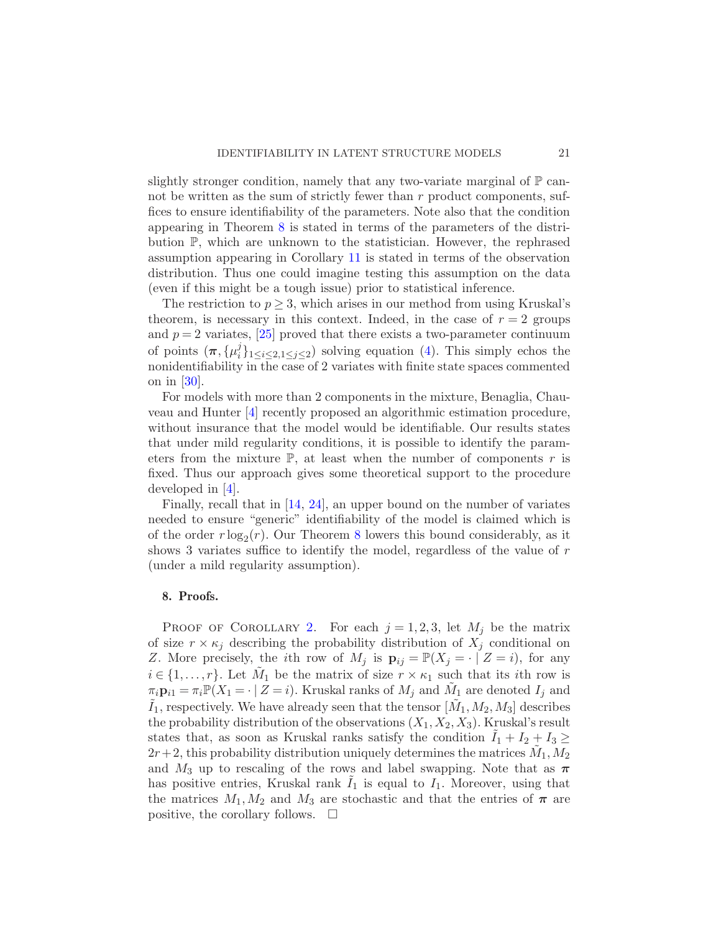slightly stronger condition, namely that any two-variate marginal of  $\mathbb{P}$  cannot be written as the sum of strictly fewer than r product components, suffices to ensure identifiability of the parameters. Note also that the condition appearing in Theorem [8](#page-17-0) is stated in terms of the parameters of the distribution P, which are unknown to the statistician. However, the rephrased assumption appearing in Corollary [11](#page-19-0) is stated in terms of the observation distribution. Thus one could imagine testing this assumption on the data (even if this might be a tough issue) prior to statistical inference.

The restriction to  $p \geq 3$ , which arises in our method from using Kruskal's theorem, is necessary in this context. Indeed, in the case of  $r = 2$  groups and  $p = 2$  variates, [\[25](#page-33-9)] proved that there exists a two-parameter continuum of points  $(\boldsymbol{\pi}, {\{\mu_i^j\}})$  $i<sub>i</sub><sup>j</sup>$ <sub>1≤i≤2,1≤j≤2</sub>) solving equation [\(4\)](#page-17-2). This simply echos the nonidentifiability in the case of 2 variates with finite state spaces commented on in [\[30\]](#page-34-2).

For models with more than 2 components in the mixture, Benaglia, Chauveau and Hunter [\[4](#page-32-4)] recently proposed an algorithmic estimation procedure, without insurance that the model would be identifiable. Our results states that under mild regularity conditions, it is possible to identify the parameters from the mixture  $\mathbb{P}$ , at least when the number of components r is fixed. Thus our approach gives some theoretical support to the procedure developed in  $|4|$ .

Finally, recall that in [\[14,](#page-33-8) [24](#page-33-13)], an upper bound on the number of variates needed to ensure "generic" identifiability of the model is claimed which is of the order  $r \log_2(r)$ . Our Theorem [8](#page-17-0) lowers this bound considerably, as it shows 3 variates suffice to identify the model, regardless of the value of r (under a mild regularity assumption).

## <span id="page-20-0"></span>8. Proofs.

PROOF OF COROLLARY [2.](#page-11-2) For each  $j = 1, 2, 3$ , let  $M_j$  be the matrix of size  $r \times \kappa_j$  describing the probability distribution of  $X_j$  conditional on Z. More precisely, the *i*th row of  $M_j$  is  $\mathbf{p}_{ij} = \mathbb{P}(X_j = \cdot | Z = i)$ , for any  $i \in \{1, \ldots, r\}$ . Let  $\tilde{M}_1$  be the matrix of size  $r \times \kappa_1$  such that its *i*th row is  $\pi_i \mathbf{p}_{i1} = \pi_i \mathbb{P}(X_1 = \cdot \mid Z = i)$ . Kruskal ranks of  $M_j$  and  $\tilde{M}_1$  are denoted  $I_j$  and  $\tilde{I}_1$ , respectively. We have already seen that the tensor  $[\tilde{M}_1, M_2, M_3]$  describes the probability distribution of the observations  $(X_1, X_2, X_3)$ . Kruskal's result states that, as soon as Kruskal ranks satisfy the condition  $I_1 + I_2 + I_3 \geq$  $2r+2$ , this probability distribution uniquely determines the matrices  $\tilde{M}_1, M_2$ and  $M_3$  up to rescaling of the rows and label swapping. Note that as  $\pi$ has positive entries, Kruskal rank  $I_1$  is equal to  $I_1$ . Moreover, using that the matrices  $M_1, M_2$  and  $M_3$  are stochastic and that the entries of  $\pi$  are positive, the corollary follows.  $\square$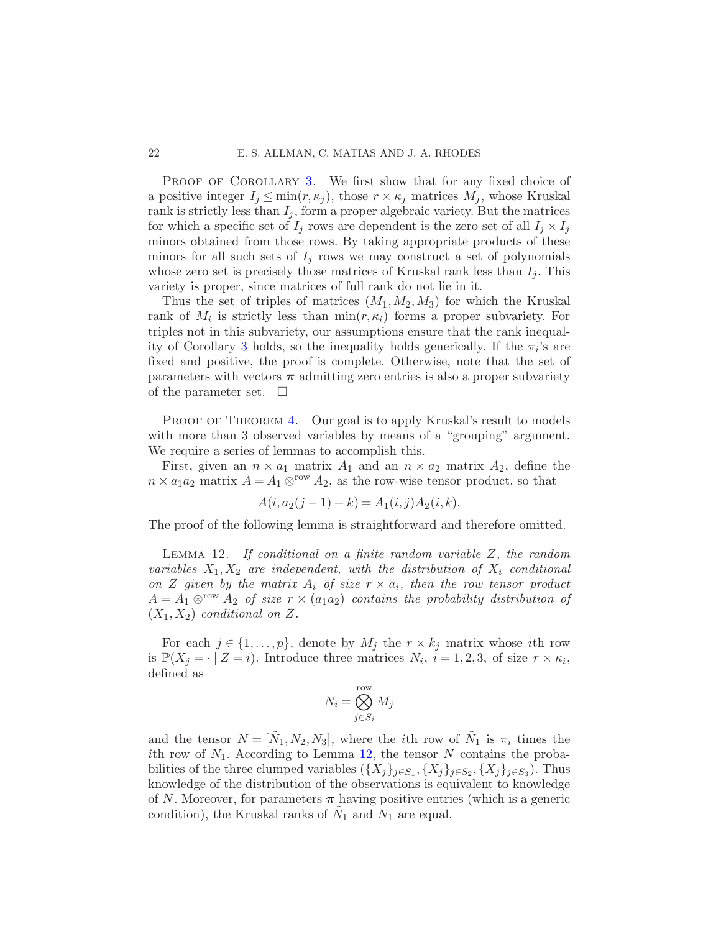PROOF OF COROLLARY [3.](#page-11-1) We first show that for any fixed choice of a positive integer  $I_j \leq \min(r, \kappa_j)$ , those  $r \times \kappa_j$  matrices  $M_j$ , whose Kruskal rank is strictly less than  $I_j$ , form a proper algebraic variety. But the matrices for which a specific set of  $I_j$  rows are dependent is the zero set of all  $I_j \times I_j$ minors obtained from those rows. By taking appropriate products of these minors for all such sets of  $I_i$  rows we may construct a set of polynomials whose zero set is precisely those matrices of Kruskal rank less than  $I_i$ . This variety is proper, since matrices of full rank do not lie in it.

Thus the set of triples of matrices  $(M_1, M_2, M_3)$  for which the Kruskal rank of  $M_i$  is strictly less than  $\min(r, \kappa_i)$  forms a proper subvariety. For triples not in this subvariety, our assumptions ensure that the rank inequal-ity of Corollary [3](#page-11-1) holds, so the inequality holds generically. If the  $\pi_i$ 's are fixed and positive, the proof is complete. Otherwise, note that the set of parameters with vectors  $\pi$  admitting zero entries is also a proper subvariety of the parameter set.  $\Box$ 

PROOF OF THEOREM [4.](#page-12-2) Our goal is to apply Kruskal's result to models with more than 3 observed variables by means of a "grouping" argument. We require a series of lemmas to accomplish this.

First, given an  $n \times a_1$  matrix  $A_1$  and an  $n \times a_2$  matrix  $A_2$ , define the  $n \times a_1 a_2$  matrix  $A = A_1 \otimes^{row} A_2$ , as the row-wise tensor product, so that

$$
A(i, a_2(j-1) + k) = A_1(i, j) A_2(i, k).
$$

The proof of the following lemma is straightforward and therefore omitted.

LEMMA 12. If conditional on a finite random variable  $Z$ , the random variables  $X_1, X_2$  are independent, with the distribution of  $X_i$  conditional on Z given by the matrix  $A_i$  of size  $r \times a_i$ , then the row tensor product  $A = A_1 \otimes^{row} A_2$  of size  $r \times (a_1 a_2)$  contains the probability distribution of  $(X_1, X_2)$  conditional on Z.

For each  $j \in \{1, ..., p\}$ , denote by  $M_j$  the  $r \times k_j$  matrix whose ith row is  $\mathbb{P}(X_j = \cdot | Z = i)$ . Introduce three matrices  $N_i$ ,  $i = 1, 2, 3$ , of size  $r \times \kappa_i$ , defined as

<span id="page-21-0"></span>
$$
N_i = \bigotimes_{j \in S_i}^{\text{row}} M_j
$$

and the tensor  $N = [\tilde{N}_1, N_2, N_3]$ , where the *i*th row of  $\tilde{N}_1$  is  $\pi_i$  times the ith row of  $N_1$ . According to Lemma [12,](#page-21-0) the tensor N contains the probabilities of the three clumped variables  $(\{X_j\}_{j\in S_1}, \{X_j\}_{j\in S_2}, \{X_j\}_{j\in S_3})$ . Thus knowledge of the distribution of the observations is equivalent to knowledge of N. Moreover, for parameters  $\pi$  having positive entries (which is a generic condition), the Kruskal ranks of  $\tilde{N}_1$  and  $\tilde{N}_1$  are equal.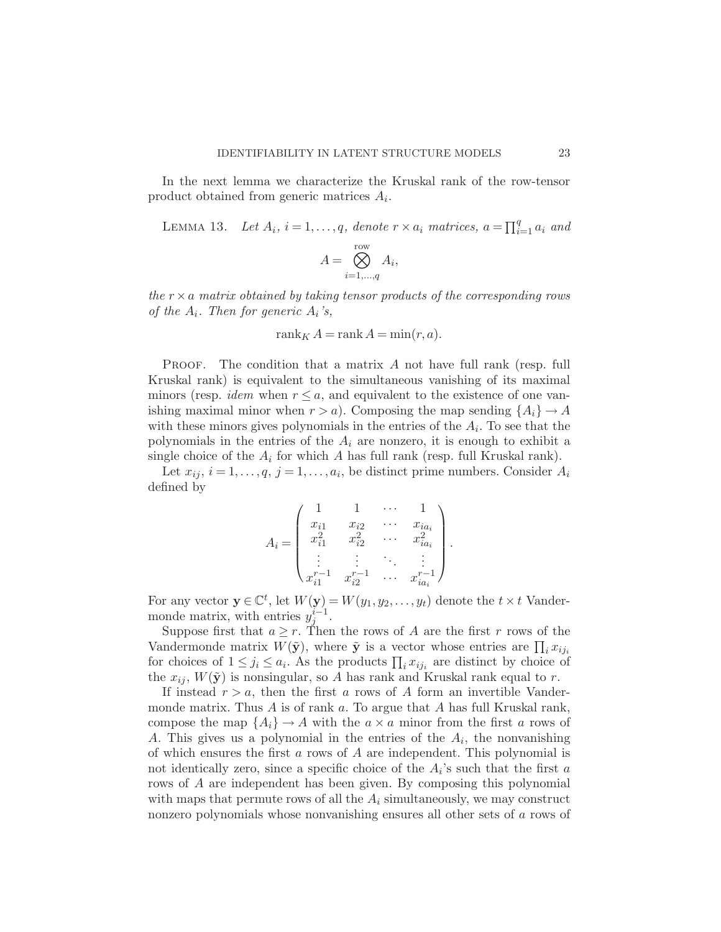In the next lemma we characterize the Kruskal rank of the row-tensor product obtained from generic matrices  $A_i$ .

LEMMA 13. Let 
$$
A_i
$$
,  $i = 1, ..., q$ , denote  $r \times a_i$  matrices,  $a = \prod_{i=1}^q a_i$  and

<span id="page-22-0"></span>
$$
A = \bigotimes_{i=1,\dots,q}^{\text{row}} A_i,
$$

the  $r \times a$  matrix obtained by taking tensor products of the corresponding rows of the  $A_i$ . Then for generic  $A_i$ 's,

$$
rank_K A = rank A = min(r, a).
$$

**PROOF.** The condition that a matrix  $A$  not have full rank (resp. full Kruskal rank) is equivalent to the simultaneous vanishing of its maximal minors (resp. *idem* when  $r \leq a$ , and equivalent to the existence of one vanishing maximal minor when  $r > a$ ). Composing the map sending  $\{A_i\} \rightarrow A$ with these minors gives polynomials in the entries of the  $A_i$ . To see that the polynomials in the entries of the  $A_i$  are nonzero, it is enough to exhibit a single choice of the  $A_i$  for which A has full rank (resp. full Kruskal rank).

Let  $x_{ij}$ ,  $i = 1, \ldots, q$ ,  $j = 1, \ldots, a_i$ , be distinct prime numbers. Consider  $A_i$ defined by

$$
A_i = \begin{pmatrix} 1 & 1 & \cdots & 1 \\ x_{i1} & x_{i2} & \cdots & x_{ia_i} \\ x_{i1}^2 & x_{i2}^2 & \cdots & x_{ia_i}^2 \\ \vdots & \vdots & \ddots & \vdots \\ x_{i1}^{r-1} & x_{i2}^{r-1} & \cdots & x_{ia_i}^{r-1} \end{pmatrix}.
$$

For any vector  $\mathbf{y} \in \mathbb{C}^t$ , let  $W(\mathbf{y}) = W(y_1, y_2, \dots, y_t)$  denote the  $t \times t$  Vandermonde matrix, with entries  $y_j^{i-1}$ .

Suppose first that  $a \geq r$ . Then the rows of A are the first r rows of the Vandermonde matrix  $W(\tilde{y})$ , where  $\tilde{y}$  is a vector whose entries are  $\prod_i x_{ij_i}$ for choices of  $1 \leq j_i \leq a_i$ . As the products  $\prod_i x_{ij_i}$  are distinct by choice of the  $x_{ij}$ ,  $W(\tilde{y})$  is nonsingular, so A has rank and Kruskal rank equal to r.

If instead  $r > a$ , then the first a rows of A form an invertible Vandermonde matrix. Thus  $A$  is of rank  $a$ . To argue that  $A$  has full Kruskal rank, compose the map  $\{A_i\} \rightarrow A$  with the  $a \times a$  minor from the first a rows of A. This gives us a polynomial in the entries of the  $A_i$ , the nonvanishing of which ensures the first a rows of  $A$  are independent. This polynomial is not identically zero, since a specific choice of the  $A_i$ 's such that the first a rows of A are independent has been given. By composing this polynomial with maps that permute rows of all the  $A_i$  simultaneously, we may construct nonzero polynomials whose nonvanishing ensures all other sets of a rows of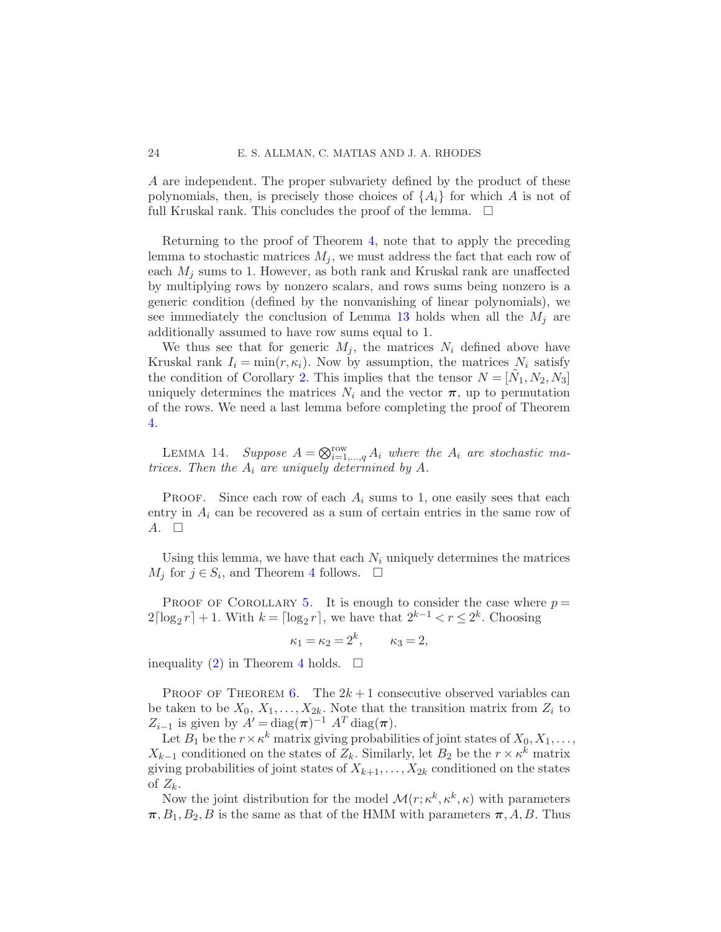A are independent. The proper subvariety defined by the product of these polynomials, then, is precisely those choices of  $\{A_i\}$  for which A is not of full Kruskal rank. This concludes the proof of the lemma.  $\Box$ 

Returning to the proof of Theorem [4,](#page-12-2) note that to apply the preceding lemma to stochastic matrices  $M_i$ , we must address the fact that each row of each  $M_i$  sums to 1. However, as both rank and Kruskal rank are unaffected by multiplying rows by nonzero scalars, and rows sums being nonzero is a generic condition (defined by the nonvanishing of linear polynomials), we see immediately the conclusion of Lemma [13](#page-22-0) holds when all the  $M_i$  are additionally assumed to have row sums equal to 1.

We thus see that for generic  $M_j$ , the matrices  $N_i$  defined above have Kruskal rank  $I_i = \min(r, \kappa_i)$ . Now by assumption, the matrices  $N_i$  satisfy the condition of Corollary [2.](#page-11-2) This implies that the tensor  $N = [\tilde{N}_1, N_2, N_3]$ uniquely determines the matrices  $N_i$  and the vector  $\pi$ , up to permutation of the rows. We need a last lemma before completing the proof of Theorem [4.](#page-12-2)

LEMMA 14. Suppose  $A = \bigotimes_{i=1,\dots,q}^{\text{row}} A_i$  where the  $A_i$  are stochastic matrices. Then the  $A_i$  are uniquely determined by A.

**PROOF.** Since each row of each  $A_i$  sums to 1, one easily sees that each entry in  $A_i$  can be recovered as a sum of certain entries in the same row of  $A.$   $\Box$ 

Using this lemma, we have that each  $N_i$  uniquely determines the matrices  $M_j$  for  $j \in S_i$ , and Theorem [4](#page-12-2) follows.  $\square$ 

PROOF OF COROLLARY [5.](#page-12-0) It is enough to consider the case where  $p =$  $2\lceil \log_2 r \rceil + 1$ . With  $k = \lceil \log_2 r \rceil$ , we have that  $2^{k-1} < r \le 2^k$ . Choosing

$$
\kappa_1 = \kappa_2 = 2^k, \qquad \kappa_3 = 2,
$$

inequality [\(2\)](#page-12-1) in Theorem [4](#page-12-2) holds.  $\square$ 

PROOF OF THEOREM [6.](#page-14-0) The  $2k+1$  consecutive observed variables can be taken to be  $X_0, X_1, \ldots, X_{2k}$ . Note that the transition matrix from  $Z_i$  to  $Z_{i-1}$  is given by  $A' = \text{diag}(\boldsymbol{\pi})^{-1} A^T \text{diag}(\boldsymbol{\pi}).$ 

Let  $B_1$  be the  $r \times \kappa^k$  matrix giving probabilities of joint states of  $X_0, X_1, \ldots$ ,  $X_{k-1}$  conditioned on the states of  $Z_k$ . Similarly, let  $B_2$  be the  $r \times \kappa^k$  matrix giving probabilities of joint states of  $X_{k+1}, \ldots, X_{2k}$  conditioned on the states of  $Z_k$ .

Now the joint distribution for the model  $\mathcal{M}(r; \kappa^k, \kappa^k, \kappa)$  with parameters  $\pi$ ,  $B_1$ ,  $B_2$ , B is the same as that of the HMM with parameters  $\pi$ , A, B. Thus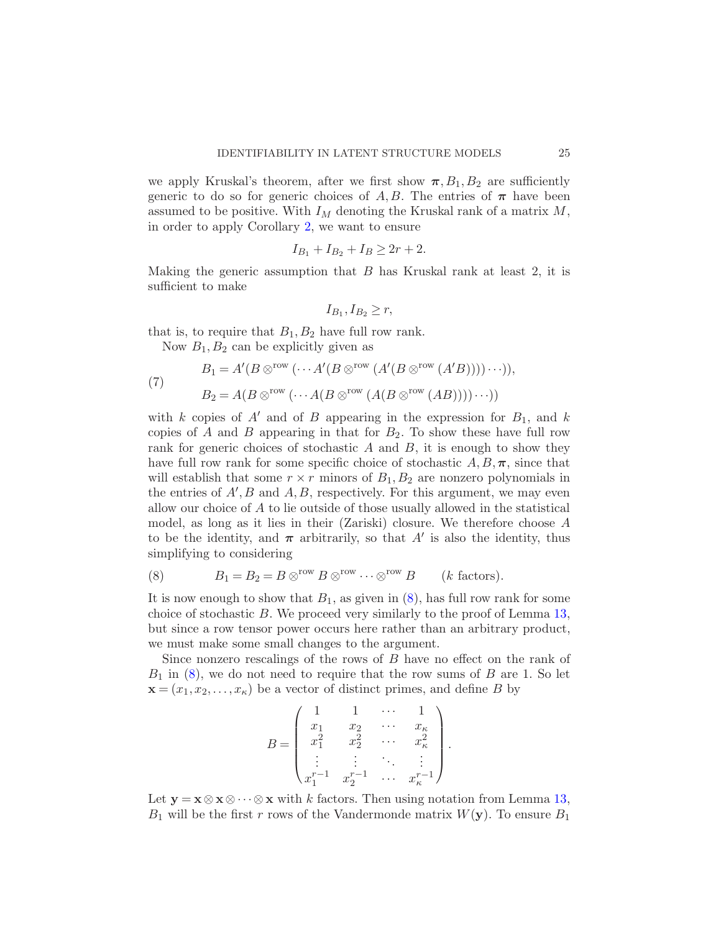we apply Kruskal's theorem, after we first show  $\pi$ ,  $B_1$ ,  $B_2$  are sufficiently generic to do so for generic choices of A, B. The entries of  $\pi$  have been assumed to be positive. With  $I_M$  denoting the Kruskal rank of a matrix  $M$ , in order to apply Corollary [2,](#page-11-2) we want to ensure

$$
I_{B_1} + I_{B_2} + I_B \ge 2r + 2.
$$

Making the generic assumption that  $B$  has Kruskal rank at least 2, it is sufficient to make

$$
I_{B_1}, I_{B_2} \ge r
$$

that is, to require that  $B_1, B_2$  have full row rank.

<span id="page-24-1"></span>Now  $B_1, B_2$  can be explicitly given as

(7) 
$$
B_1 = A'(B \otimes^{\text{row}} (\cdots A'(B \otimes^{\text{row}} (A'(B \otimes^{\text{row}} (A'B))))\cdots)),
$$

$$
B_2 = A(B \otimes^{\text{row}} (\cdots A(B \otimes^{\text{row}} (A(B \otimes^{\text{row}} (AB))))\cdots))
$$

with k copies of  $A'$  and of B appearing in the expression for  $B_1$ , and k copies of A and B appearing in that for  $B_2$ . To show these have full row rank for generic choices of stochastic  $A$  and  $B$ , it is enough to show they have full row rank for some specific choice of stochastic  $A, B, \pi$ , since that will establish that some  $r \times r$  minors of  $B_1, B_2$  are nonzero polynomials in the entries of  $A'$ ,  $B$  and  $A$ ,  $B$ , respectively. For this argument, we may even allow our choice of A to lie outside of those usually allowed in the statistical model, as long as it lies in their (Zariski) closure. We therefore choose A to be the identity, and  $\pi$  arbitrarily, so that A' is also the identity, thus simplifying to considering

<span id="page-24-0"></span>(8) 
$$
B_1 = B_2 = B \otimes^{\text{row}} B \otimes^{\text{row}} \cdots \otimes^{\text{row}} B \qquad (k \text{ factors}).
$$

It is now enough to show that  $B_1$ , as given in  $(8)$ , has full row rank for some choice of stochastic B. We proceed very similarly to the proof of Lemma [13,](#page-22-0) but since a row tensor power occurs here rather than an arbitrary product, we must make some small changes to the argument.

Since nonzero rescalings of the rows of B have no effect on the rank of  $B_1$  in [\(8\)](#page-24-0), we do not need to require that the row sums of B are 1. So let  $\mathbf{x} = (x_1, x_2, \dots, x_\kappa)$  be a vector of distinct primes, and define B by

$$
B = \begin{pmatrix} 1 & 1 & \cdots & 1 \\ x_1 & x_2 & \cdots & x_k \\ x_1^2 & x_2^2 & \cdots & x_k^2 \\ \vdots & \vdots & \ddots & \vdots \\ x_1^{r-1} & x_2^{r-1} & \cdots & x_k^{r-1} \end{pmatrix}.
$$

Let  $y = x \otimes x \otimes \cdots \otimes x$  with k factors. Then using notation from Lemma [13,](#page-22-0)  $B_1$  will be the first r rows of the Vandermonde matrix  $W(\mathbf{y})$ . To ensure  $B_1$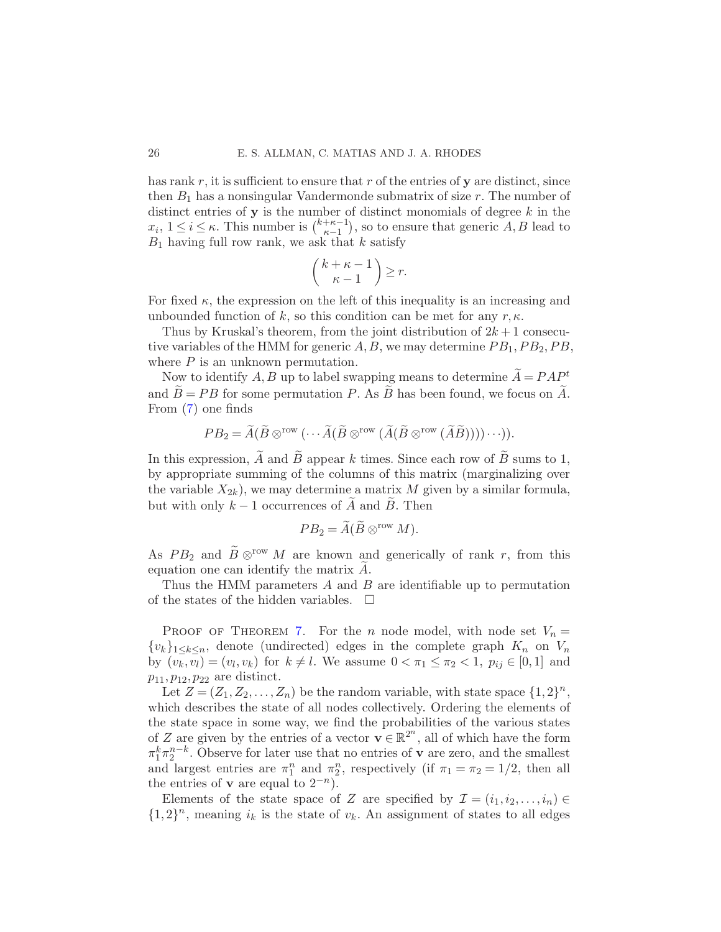has rank  $r$ , it is sufficient to ensure that  $r$  of the entries of  $y$  are distinct, since then  $B_1$  has a nonsingular Vandermonde submatrix of size r. The number of distinct entries of  $y$  is the number of distinct monomials of degree  $k$  in the  $x_i, 1 \leq i \leq \kappa$ . This number is  $\binom{k+\kappa-1}{\kappa-1}$  $\binom{+\kappa-1}{\kappa-1}$ , so to ensure that generic  $A, B$  lead to  $B_1$  having full row rank, we ask that k satisfy

$$
\binom{k+\kappa-1}{\kappa-1}\geq r.
$$

For fixed  $\kappa$ , the expression on the left of this inequality is an increasing and unbounded function of k, so this condition can be met for any  $r, \kappa$ .

Thus by Kruskal's theorem, from the joint distribution of  $2k+1$  consecutive variables of the HMM for generic  $A, B$ , we may determine  $PB_1, PB_2, PB$ , where  $P$  is an unknown permutation.

Now to identify A, B up to label swapping means to determine  $\widetilde{A} = P A P^t$ and  $\widetilde{B} = PB$  for some permutation P. As  $\widetilde{B}$  has been found, we focus on  $\widetilde{A}$ . From [\(7\)](#page-24-1) one finds

$$
PB_2=\widetilde{A}(\widetilde{B}\otimes^{\mathrm{row}}(\cdots \widetilde{A}(\widetilde{B}\otimes^{\mathrm{row}}(\widetilde{A}(\widetilde{B}\otimes^{\mathrm{row}}(\widetilde{A}\widetilde{B}))))\cdots)).
$$

In this expression,  $\widetilde{A}$  and  $\widetilde{B}$  appear k times. Since each row of  $\widetilde{B}$  sums to 1, by appropriate summing of the columns of this matrix (marginalizing over the variable  $X_{2k}$ , we may determine a matrix M given by a similar formula, but with only  $k-1$  occurrences of  $\widetilde{A}$  and  $\widetilde{B}$ . Then

$$
PB_2=\widetilde{A}(\widetilde{B}\otimes^{\mathrm{row}} M).
$$

As  $PB_2$  and  $\widetilde{B} \otimes^{\text{row}} M$  are known and generically of rank r, from this equation one can identify the matrix  $A$ .

Thus the HMM parameters A and B are identifiable up to permutation of the states of the hidden variables.  $\quad \Box$ 

PROOF OF THEOREM [7.](#page-16-0) For the *n* node model, with node set  $V_n =$  $\{v_k\}_{1\leq k\leq n}$ , denote (undirected) edges in the complete graph  $K_n$  on  $V_n$ by  $(v_k, v_l) = (v_l, v_k)$  for  $k \neq l$ . We assume  $0 < \pi_1 \leq \pi_2 < 1$ ,  $p_{ij} \in [0, 1]$  and  $p_{11}, p_{12}, p_{22}$  are distinct.

Let  $Z = (Z_1, Z_2, \ldots, Z_n)$  be the random variable, with state space  $\{1, 2\}^n$ , which describes the state of all nodes collectively. Ordering the elements of the state space in some way, we find the probabilities of the various states of Z are given by the entries of a vector  $\mathbf{v} \in \mathbb{R}^{2^n}$ , all of which have the form  $\pi_1^k \pi_2^{n-k}$ . Observe for later use that no entries of **v** are zero, and the smallest and largest entries are  $\pi_1^n$  and  $\pi_2^n$ , respectively (if  $\pi_1 = \pi_2 = 1/2$ , then all the entries of **v** are equal to  $2^{-n}$ ).

Elements of the state space of Z are specified by  $\mathcal{I} = (i_1, i_2, \ldots, i_n) \in$  $\{1,2\}^n$ , meaning  $i_k$  is the state of  $v_k$ . An assignment of states to all edges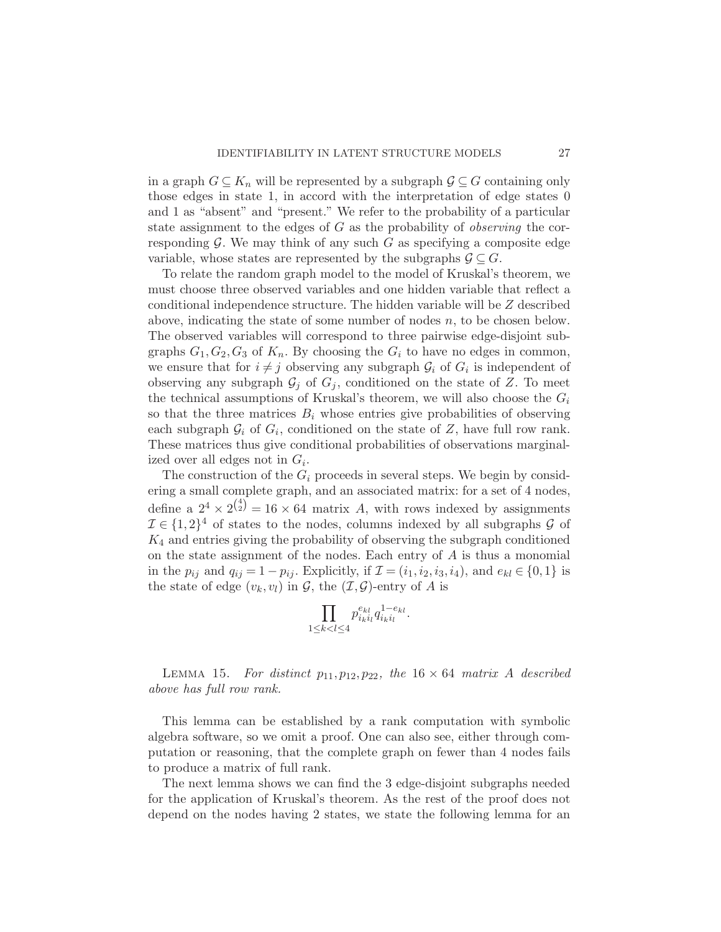in a graph  $G \subseteq K_n$  will be represented by a subgraph  $\mathcal{G} \subseteq G$  containing only those edges in state 1, in accord with the interpretation of edge states 0 and 1 as "absent" and "present." We refer to the probability of a particular state assignment to the edges of  $G$  as the probability of *observing* the corresponding  $G$ . We may think of any such  $G$  as specifying a composite edge variable, whose states are represented by the subgraphs  $\mathcal{G} \subseteq G$ .

To relate the random graph model to the model of Kruskal's theorem, we must choose three observed variables and one hidden variable that reflect a conditional independence structure. The hidden variable will be Z described above, indicating the state of some number of nodes  $n$ , to be chosen below. The observed variables will correspond to three pairwise edge-disjoint subgraphs  $G_1, G_2, G_3$  of  $K_n$ . By choosing the  $G_i$  to have no edges in common, we ensure that for  $i \neq j$  observing any subgraph  $\mathcal{G}_i$  of  $G_i$  is independent of observing any subgraph  $\mathcal{G}_i$  of  $G_i$ , conditioned on the state of Z. To meet the technical assumptions of Kruskal's theorem, we will also choose the  $G_i$ so that the three matrices  $B_i$  whose entries give probabilities of observing each subgraph  $\mathcal{G}_i$  of  $G_i$ , conditioned on the state of Z, have full row rank. These matrices thus give conditional probabilities of observations marginalized over all edges not in  $G_i$ .

The construction of the  $G_i$  proceeds in several steps. We begin by considering a small complete graph, and an associated matrix: for a set of 4 nodes, define a  $2^4 \times 2^{4 \choose 2} = 16 \times 64$  matrix A, with rows indexed by assignments  $\mathcal{I} \in \{1,2\}^4$  of states to the nodes, columns indexed by all subgraphs  $\mathcal G$  of  $K_4$  and entries giving the probability of observing the subgraph conditioned on the state assignment of the nodes. Each entry of  $A$  is thus a monomial in the  $p_{ij}$  and  $q_{ij} = 1 - p_{ij}$ . Explicitly, if  $\mathcal{I} = (i_1, i_2, i_3, i_4)$ , and  $e_{kl} \in \{0, 1\}$  is the state of edge  $(v_k, v_l)$  in  $\mathcal{G}$ , the  $(\mathcal{I}, \mathcal{G})$ -entry of A is

$$
\prod_{1\leq k
$$

<span id="page-26-0"></span>LEMMA 15. For distinct  $p_{11}, p_{12}, p_{22},$  the 16  $\times$  64 matrix A described above has full row rank.

This lemma can be established by a rank computation with symbolic algebra software, so we omit a proof. One can also see, either through computation or reasoning, that the complete graph on fewer than 4 nodes fails to produce a matrix of full rank.

The next lemma shows we can find the 3 edge-disjoint subgraphs needed for the application of Kruskal's theorem. As the rest of the proof does not depend on the nodes having 2 states, we state the following lemma for an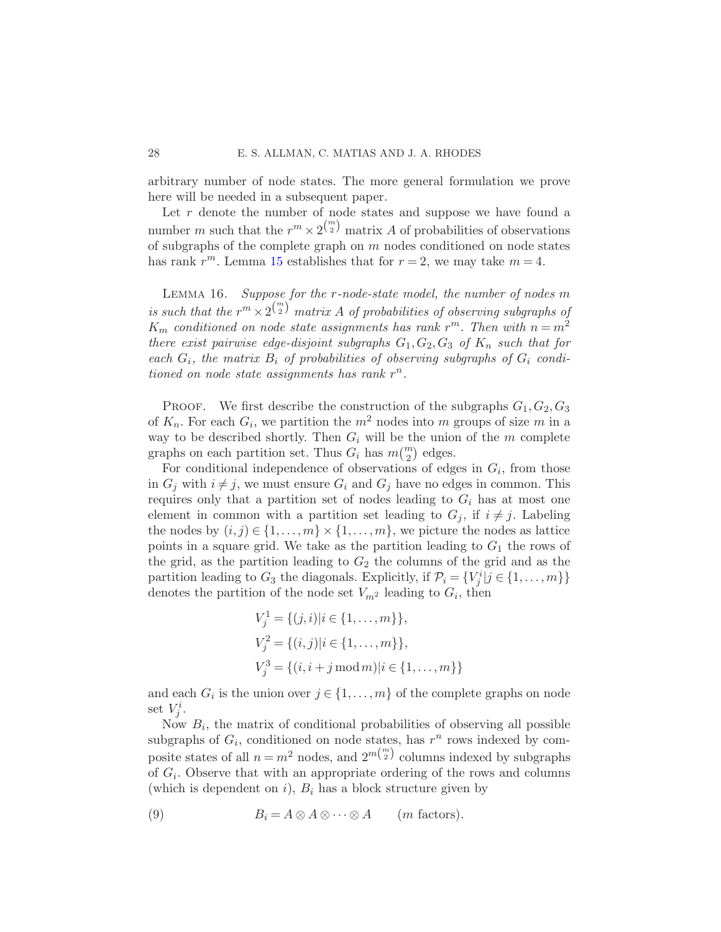arbitrary number of node states. The more general formulation we prove here will be needed in a subsequent paper.

Let  $r$  denote the number of node states and suppose we have found a number m such that the  $r^m \times 2^{m \choose 2}$  matrix A of probabilities of observations of subgraphs of the complete graph on  $m$  nodes conditioned on node states has rank  $r^m$ . Lemma [15](#page-26-0) establishes that for  $r = 2$ , we may take  $m = 4$ .

<span id="page-27-1"></span>Lemma 16. Suppose for the r-node-state model, the number of nodes m is such that the  $r^m \times 2^{\binom{m}{2}}$  matrix A of probabilities of observing subgraphs of  $K_m$  conditioned on node state assignments has rank  $r^m$ . Then with  $n = m^2$ there exist pairwise edge-disjoint subgraphs  $G_1, G_2, G_3$  of  $K_n$  such that for each  $G_i$ , the matrix  $B_i$  of probabilities of observing subgraphs of  $G_i$  conditioned on node state assignments has rank  $r^n$ .

PROOF. We first describe the construction of the subgraphs  $G_1, G_2, G_3$ of  $K_n$ . For each  $G_i$ , we partition the  $m^2$  nodes into m groups of size m in a way to be described shortly. Then  $G_i$  will be the union of the  $m$  complete graphs on each partition set. Thus  $G_i$  has  $m\binom{m}{2}$  edges.

For conditional independence of observations of edges in  $G_i$ , from those in  $G_j$  with  $i \neq j$ , we must ensure  $G_i$  and  $G_j$  have no edges in common. This requires only that a partition set of nodes leading to  $G_i$  has at most one element in common with a partition set leading to  $G_j$ , if  $i \neq j$ . Labeling the nodes by  $(i, j) \in \{1, \ldots, m\} \times \{1, \ldots, m\}$ , we picture the nodes as lattice points in a square grid. We take as the partition leading to  $G_1$  the rows of the grid, as the partition leading to  $G_2$  the columns of the grid and as the partition leading to  $G_3$  the diagonals. Explicitly, if  $\mathcal{P}_i = \{V_j^i | j \in \{1, ..., m\}\}\$ denotes the partition of the node set  $V_{m^2}$  leading to  $G_i$ , then

$$
V_j^1 = \{(j, i)|i \in \{1, ..., m\}\},
$$
  
\n
$$
V_j^2 = \{(i, j)|i \in \{1, ..., m\}\},
$$
  
\n
$$
V_j^3 = \{(i, i + j \mod m)|i \in \{1, ..., m\}\}
$$

and each  $G_i$  is the union over  $j \in \{1, \ldots, m\}$  of the complete graphs on node set  $V_j^i$ .

Now  $B_i$ , the matrix of conditional probabilities of observing all possible subgraphs of  $G_i$ , conditioned on node states, has  $r^n$  rows indexed by composite states of all  $n = m^2$  nodes, and  $2^{m {m \choose 2}}$  columns indexed by subgraphs of  $G_i$ . Observe that with an appropriate ordering of the rows and columns (which is dependent on  $i$ ),  $B_i$  has a block structure given by

<span id="page-27-0"></span>(9) 
$$
B_i = A \otimes A \otimes \cdots \otimes A \qquad (m \text{ factors}).
$$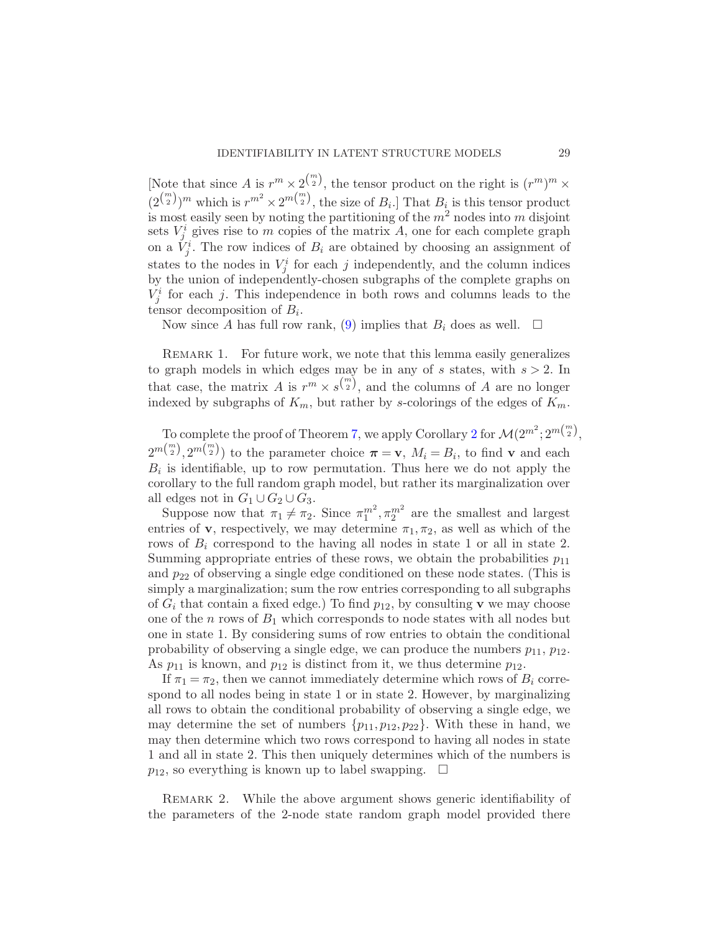[Note that since A is  $r^m \times 2^{\binom{m}{2}}$ , the tensor product on the right is  $(r^m)^m \times$  $(2^{\binom{m}{2}})^m$  which is  $r^{m^2} \times 2^{m\binom{m}{2}}$ , the size of  $B_i$ . That  $B_i$  is this tensor product is most easily seen by noting the partitioning of the  $m<sup>2</sup>$  nodes into m disjoint sets  $V_j^i$  gives rise to m copies of the matrix A, one for each complete graph on a  $\check{V}_j^i$ . The row indices of  $B_i$  are obtained by choosing an assignment of states to the nodes in  $V_j^i$  for each j independently, and the column indices by the union of independently-chosen subgraphs of the complete graphs on  $V_j^i$  for each j. This independence in both rows and columns leads to the tensor decomposition of  $B_i$ .

Now since A has full row rank, [\(9\)](#page-27-0) implies that  $B_i$  does as well.  $\square$ 

REMARK 1. For future work, we note that this lemma easily generalizes to graph models in which edges may be in any of s states, with  $s > 2$ . In that case, the matrix A is  $r^m \times s^{m \choose 2}$ , and the columns of A are no longer indexed by subgraphs of  $K_m$ , but rather by s-colorings of the edges of  $K_m$ .

To complete the proof of Theorem [7,](#page-16-0) we apply Corollary [2](#page-11-2) for  $\mathcal{M}(2^{m^2}; 2^{m{m \choose 2}},$  $2^{m(\binom{m}{2})}$ ,  $2^{m(\binom{m}{2})}$  to the parameter choice  $\pi = \mathbf{v}$ ,  $M_i = B_i$ , to find  $\mathbf{v}$  and each  $B_i$  is identifiable, up to row permutation. Thus here we do not apply the corollary to the full random graph model, but rather its marginalization over all edges not in  $G_1 \cup G_2 \cup G_3$ .

Suppose now that  $\pi_1 \neq \pi_2$ . Since  $\pi_1^{m^2}, \pi_2^{m^2}$  are the smallest and largest entries of **v**, respectively, we may determine  $\pi_1, \pi_2$ , as well as which of the rows of  $B_i$  correspond to the having all nodes in state 1 or all in state 2. Summing appropriate entries of these rows, we obtain the probabilities  $p_{11}$ and  $p_{22}$  of observing a single edge conditioned on these node states. (This is simply a marginalization; sum the row entries corresponding to all subgraphs of  $G_i$  that contain a fixed edge.) To find  $p_{12}$ , by consulting v we may choose one of the n rows of  $B_1$  which corresponds to node states with all nodes but one in state 1. By considering sums of row entries to obtain the conditional probability of observing a single edge, we can produce the numbers  $p_{11}$ ,  $p_{12}$ . As  $p_{11}$  is known, and  $p_{12}$  is distinct from it, we thus determine  $p_{12}$ .

If  $\pi_1 = \pi_2$ , then we cannot immediately determine which rows of  $B_i$  correspond to all nodes being in state 1 or in state 2. However, by marginalizing all rows to obtain the conditional probability of observing a single edge, we may determine the set of numbers  $\{p_{11}, p_{12}, p_{22}\}\$ . With these in hand, we may then determine which two rows correspond to having all nodes in state 1 and all in state 2. This then uniquely determines which of the numbers is  $p_{12}$ , so everything is known up to label swapping.  $\Box$ 

REMARK 2. While the above argument shows generic identifiability of the parameters of the 2-node state random graph model provided there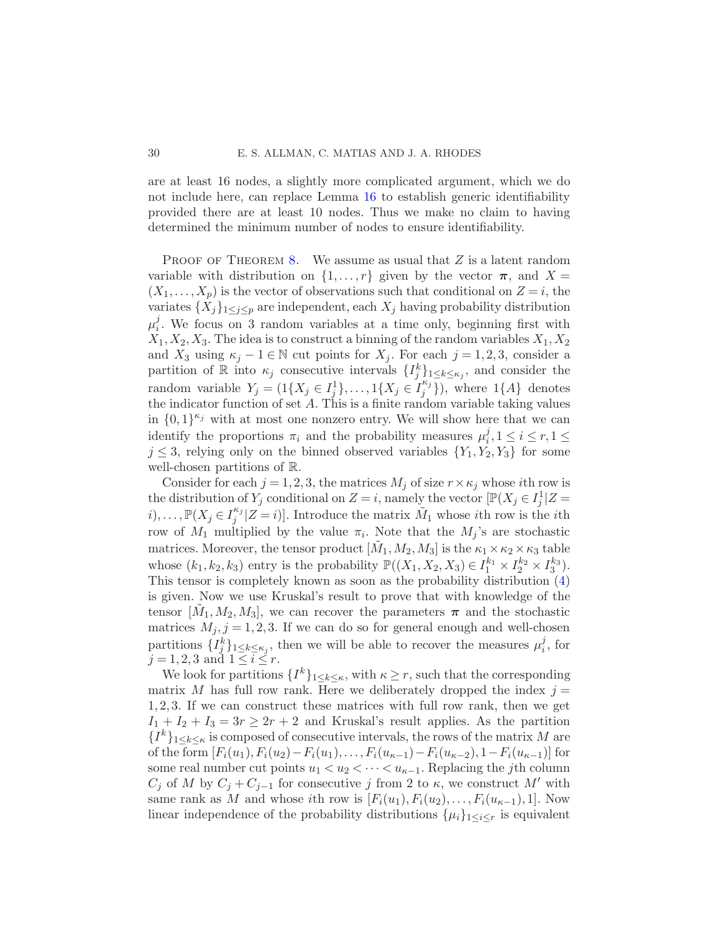are at least 16 nodes, a slightly more complicated argument, which we do not include here, can replace Lemma [16](#page-27-1) to establish generic identifiability provided there are at least 10 nodes. Thus we make no claim to having determined the minimum number of nodes to ensure identifiability.

PROOF OF THEOREM [8.](#page-17-0) We assume as usual that  $Z$  is a latent random variable with distribution on  $\{1, \ldots, r\}$  given by the vector  $\pi$ , and  $X =$  $(X_1, \ldots, X_p)$  is the vector of observations such that conditional on  $Z = i$ , the variates  $\{X_j\}_{1\leq j\leq p}$  are independent, each  $X_j$  having probability distribution  $\mu_i^j$  $i<sub>i</sub>$ . We focus on 3 random variables at a time only, beginning first with  $X_1, X_2, X_3$ . The idea is to construct a binning of the random variables  $X_1, X_2$ and  $X_3$  using  $\kappa_j - 1 \in \mathbb{N}$  cut points for  $X_j$ . For each  $j = 1, 2, 3$ , consider a partition of R into  $\kappa_j$  consecutive intervals  $\{I_j^k\}_{1\leq k\leq \kappa_j}$ , and consider the random variable  $Y_j = (1\{X_j \in I_j^1\}, \ldots, 1\{X_j \in I_j^{\kappa_j}\})$  $\{A\}$  denotes the indicator function of set  $A$ . This is a finite random variable taking values in  $\{0,1\}^{\kappa_j}$  with at most one nonzero entry. We will show here that we can identify the proportions  $\pi_i$  and the probability measures  $\mu_i^j$  $i<sub>i</sub>, 1 \leq i \leq r, 1 \leq$  $j \leq 3$ , relying only on the binned observed variables  $\{Y_1, Y_2, Y_3\}$  for some well-chosen partitions of R.

Consider for each  $j = 1, 2, 3$ , the matrices  $M_j$  of size  $r \times \kappa_j$  whose *i*th row is the distribution of  $Y_j$  conditional on  $Z = i$ , namely the vector  $[\mathbb{P}(X_j \in I_j^1 | Z = j])$  $i), \ldots, \mathbb{P}(X_j \in I_j^{\kappa_j})$  $j^{k_j} | Z = i$ ]. Introduce the matrix  $\tilde{M}_1$  whose *i*th row is the *i*th row of  $M_1$  multiplied by the value  $\pi_i$ . Note that the  $M_j$ 's are stochastic matrices. Moreover, the tensor product  $[\tilde{M}_1, M_2, M_3]$  is the  $\kappa_1 \times \kappa_2 \times \kappa_3$  table whose  $(k_1, k_2, k_3)$  entry is the probability  $\mathbb{P}((X_1, X_2, X_3) \in I_1^{k_1} \times I_2^{k_2} \times I_3^{k_3})$ . This tensor is completely known as soon as the probability distribution [\(4\)](#page-17-2) is given. Now we use Kruskal's result to prove that with knowledge of the tensor  $[\tilde{M}_1, M_2, M_3]$ , we can recover the parameters  $\pi$  and the stochastic matrices  $M_j$ ,  $j = 1, 2, 3$ . If we can do so for general enough and well-chosen partitions  $\{I_j^k\}_{1 \leq k \leq \kappa_j}$ , then we will be able to recover the measures  $\mu_i^j$  $i<sub>i</sub>$ , for  $j = 1, 2, 3$  and  $1 \leq i \leq r$ .

We look for partitions  $\{I^k\}_{1\leq k\leq \kappa}$ , with  $\kappa \geq r$ , such that the corresponding matrix M has full row rank. Here we deliberately dropped the index  $j =$ 1, 2, 3. If we can construct these matrices with full row rank, then we get  $I_1 + I_2 + I_3 = 3r \geq 2r + 2$  and Kruskal's result applies. As the partition  ${I^k}_{1 \leq k \leq \kappa}$  is composed of consecutive intervals, the rows of the matrix M are of the form  $[F_i(u_1), F_i(u_2)-F_i(u_1), \ldots, F_i(u_{\kappa-1})-F_i(u_{\kappa-2}), 1-F_i(u_{\kappa-1})]$  for some real number cut points  $u_1 < u_2 < \cdots < u_{\kappa-1}$ . Replacing the *j*th column  $C_j$  of M by  $C_j + C_{j-1}$  for consecutive j from 2 to  $\kappa$ , we construct M' with same rank as M and whose ith row is  $[F_i(u_1), F_i(u_2), \ldots, F_i(u_{\kappa-1}), 1]$ . Now linear independence of the probability distributions  $\{\mu_i\}_{1 \leq i \leq r}$  is equivalent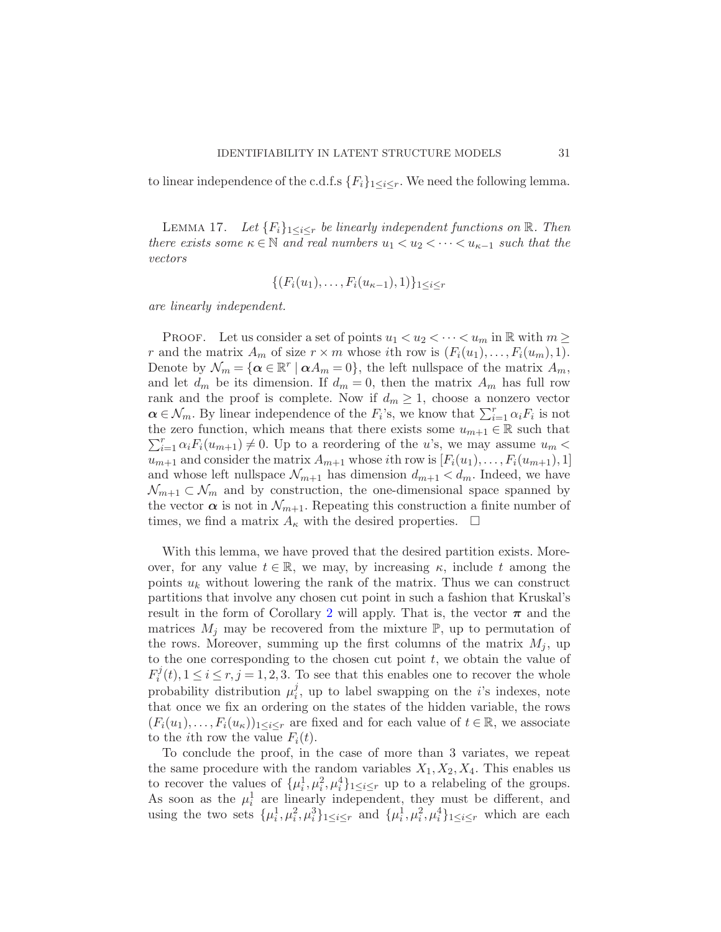<span id="page-30-0"></span>to linear independence of the c.d.f.s  ${F_i}_{1 \leq i \leq r}$ . We need the following lemma.

LEMMA 17. Let  ${F_i}_{1 \leq i \leq r}$  be linearly independent functions on  $\mathbb{R}$ . Then there exists some  $\kappa \in \mathbb{N}$  and real numbers  $u_1 < u_2 < \cdots < u_{\kappa-1}$  such that the vectors

$$
\{(F_i(u_1),\ldots,F_i(u_{\kappa-1}),1)\}_{1\leq i\leq r}
$$

are linearly independent.

PROOF. Let us consider a set of points  $u_1 < u_2 < \cdots < u_m$  in R with  $m \geq$ r and the matrix  $A_m$  of size  $r \times m$  whose ith row is  $(F_i(u_1),...,F_i(u_m),1)$ . Denote by  $\mathcal{N}_m = {\alpha \in \mathbb{R}^r \mid \alpha A_m = 0}$ , the left nullspace of the matrix  $A_m$ , and let  $d_m$  be its dimension. If  $d_m = 0$ , then the matrix  $A_m$  has full row rank and the proof is complete. Now if  $d_m \geq 1$ , choose a nonzero vector  $\alpha \in \mathcal{N}_m$ . By linear independence of the  $F_i$ 's, we know that  $\sum_{i=1}^r \alpha_i F_i$  is not the zero function, which means that there exists some  $u_{m+1} \in \mathbb{R}$  such that  $\sum_{i=1}^r \alpha_i F_i(u_{m+1}) \neq 0$ . Up to a reordering of the u's, we may assume  $u_m$  $u_{m+1}$  and consider the matrix  $A_{m+1}$  whose *i*th row is  $[F_i(u_1), \ldots, F_i(u_{m+1}), 1]$ and whose left nullspace  $\mathcal{N}_{m+1}$  has dimension  $d_{m+1} < d_m$ . Indeed, we have  $\mathcal{N}_{m+1} \subset \mathcal{N}_m$  and by construction, the one-dimensional space spanned by the vector  $\alpha$  is not in  $\mathcal{N}_{m+1}$ . Repeating this construction a finite number of times, we find a matrix  $A_{\kappa}$  with the desired properties.  $\Box$ 

With this lemma, we have proved that the desired partition exists. Moreover, for any value  $t \in \mathbb{R}$ , we may, by increasing  $\kappa$ , include t among the points  $u_k$  without lowering the rank of the matrix. Thus we can construct partitions that involve any chosen cut point in such a fashion that Kruskal's result in the form of Corollary [2](#page-11-2) will apply. That is, the vector  $\pi$  and the matrices  $M_i$  may be recovered from the mixture  $\mathbb{P}$ , up to permutation of the rows. Moreover, summing up the first columns of the matrix  $M_i$ , up to the one corresponding to the chosen cut point  $t$ , we obtain the value of  $F_i^j$  $i<sup>j</sup>(t)$ ,  $1 \le i \le r, j = 1, 2, 3$ . To see that this enables one to recover the whole probability distribution  $\mu_i^j$  $i<sub>i</sub>$ , up to label swapping on the *i*'s indexes, note that once we fix an ordering on the states of the hidden variable, the rows  $(F_i(u_1),...,F_i(u_\kappa))_{1\leq i\leq r}$  are fixed and for each value of  $t\in\mathbb{R}$ , we associate to the *i*th row the value  $F_i(t)$ .

To conclude the proof, in the case of more than 3 variates, we repeat the same procedure with the random variables  $X_1, X_2, X_4$ . This enables us to recover the values of  $\{\mu_i^1, \mu_i^2, \mu_i^4\}_{1 \leq i \leq r}$  up to a relabeling of the groups. As soon as the  $\mu_i^1$  are linearly independent, they must be different, and using the two sets  $\{\mu_i^1, \mu_i^2, \mu_i^3\}_{1 \leq i \leq r}$  and  $\{\mu_i^1, \mu_i^2, \mu_i^4\}_{1 \leq i \leq r}$  which are each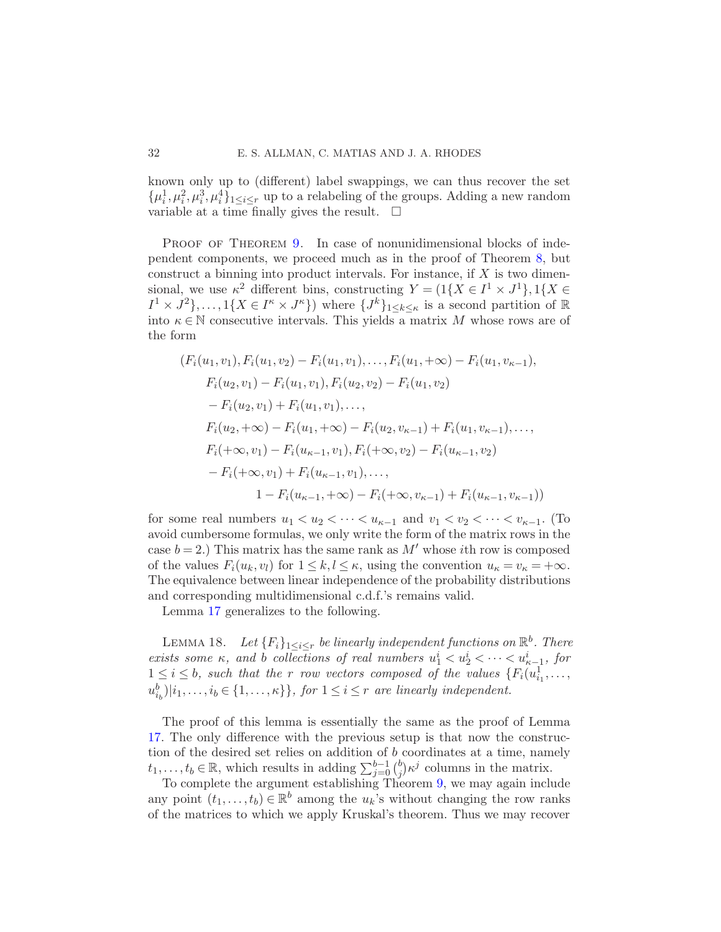known only up to (different) label swappings, we can thus recover the set  $\{\mu_i^1, \mu_i^2, \mu_i^3, \mu_i^4\}_{1 \leq i \leq r}$  up to a relabeling of the groups. Adding a new random variable at a time finally gives the result.  $\Box$ 

PROOF OF THEOREM [9.](#page-18-1) In case of nonunidimensional blocks of independent components, we proceed much as in the proof of Theorem [8,](#page-17-0) but construct a binning into product intervals. For instance, if  $X$  is two dimensional, we use  $\kappa^2$  different bins, constructing  $Y = (1\{X \in I^1 \times J^1\}, 1\{X \in$  $I^1 \times J^2$ ,...,  $1\{X \in I^{\kappa} \times J^{\kappa}\}\)$  where  $\{J^k\}_{1 \leq k \leq \kappa}$  is a second partition of  $\mathbb{R}$ into  $\kappa \in \mathbb{N}$  consecutive intervals. This yields a matrix M whose rows are of the form

$$
(F_i(u_1, v_1), F_i(u_1, v_2) - F_i(u_1, v_1), \dots, F_i(u_1, +\infty) - F_i(u_1, v_{\kappa-1}),
$$
  
\n
$$
F_i(u_2, v_1) - F_i(u_1, v_1), F_i(u_2, v_2) - F_i(u_1, v_2)
$$
  
\n
$$
- F_i(u_2, v_1) + F_i(u_1, v_1), \dots,
$$
  
\n
$$
F_i(u_2, +\infty) - F_i(u_1, +\infty) - F_i(u_2, v_{\kappa-1}) + F_i(u_1, v_{\kappa-1}), \dots,
$$
  
\n
$$
F_i(+\infty, v_1) - F_i(u_{\kappa-1}, v_1), F_i(+\infty, v_2) - F_i(u_{\kappa-1}, v_2)
$$
  
\n
$$
- F_i(+\infty, v_1) + F_i(u_{\kappa-1}, v_1), \dots,
$$
  
\n
$$
1 - F_i(u_{\kappa-1}, +\infty) - F_i(+\infty, v_{\kappa-1}) + F_i(u_{\kappa-1}, v_{\kappa-1}))
$$

for some real numbers  $u_1 < u_2 < \cdots < u_{\kappa-1}$  and  $v_1 < v_2 < \cdots < v_{\kappa-1}$ . (To avoid cumbersome formulas, we only write the form of the matrix rows in the case  $b = 2$ .) This matrix has the same rank as  $M'$  whose *i*th row is composed of the values  $F_i(u_k, v_l)$  for  $1 \leq k, l \leq \kappa$ , using the convention  $u_{\kappa} = v_{\kappa} = +\infty$ . The equivalence between linear independence of the probability distributions and corresponding multidimensional c.d.f.'s remains valid.

Lemma [17](#page-30-0) generalizes to the following.

LEMMA 18. Let  ${F_i}_{1 \leq i \leq r}$  be linearly independent functions on  $\mathbb{R}^b$ . There exists some  $\kappa$ , and b collections of real numbers  $u_1^i < u_2^i < \cdots < u_{\kappa-1}^i$ , for  $1 \leq i \leq b$ , such that the r row vectors composed of the values  $\{F_i(u_{i_1}^1, \ldots,$  $\{u_{i_b}^b\}|i_1,\ldots,i_b\in\{1,\ldots,\kappa\}\},\text{ for }1\leq i\leq r\text{ are linearly independent.}$ 

The proof of this lemma is essentially the same as the proof of Lemma [17.](#page-30-0) The only difference with the previous setup is that now the construction of the desired set relies on addition of b coordinates at a time, namely  $t_1, \ldots, t_b \in \mathbb{R}$ , which results in adding  $\sum_{j=0}^{b-1} {b \choose j}$  $j \n\in j$  columns in the matrix.

To complete the argument establishing Theorem [9,](#page-18-1) we may again include any point  $(t_1, \ldots, t_b) \in \mathbb{R}^b$  among the  $u_k$ 's without changing the row ranks of the matrices to which we apply Kruskal's theorem. Thus we may recover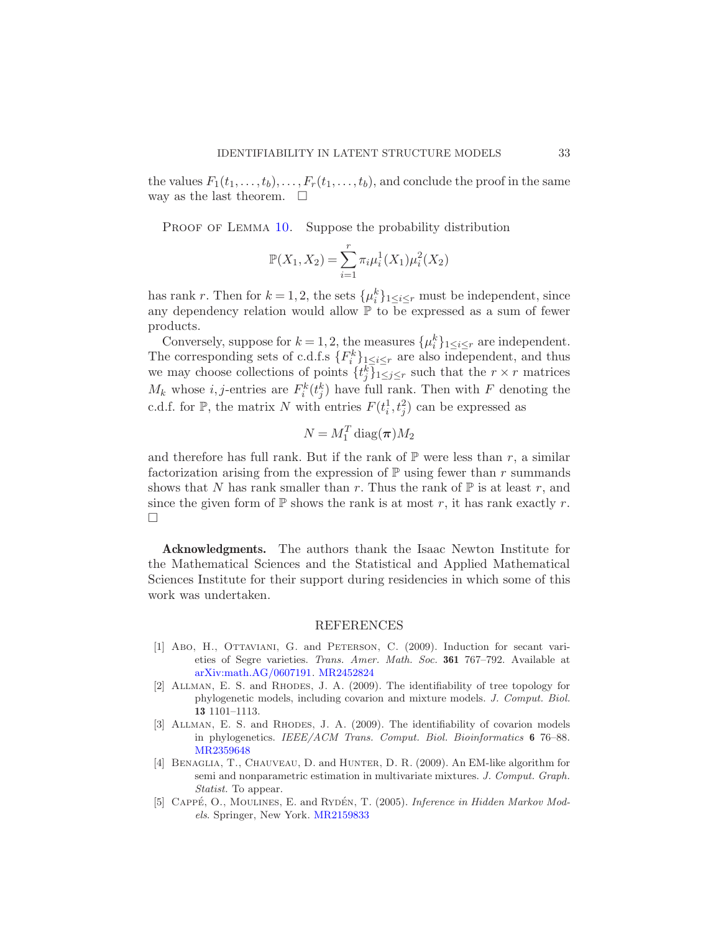the values  $F_1(t_1,\ldots,t_b),\ldots,F_r(t_1,\ldots,t_b)$ , and conclude the proof in the same way as the last theorem.  $\Box$ 

PROOF OF LEMMA [10.](#page-19-1) Suppose the probability distribution

$$
\mathbb{P}(X_1, X_2) = \sum_{i=1}^r \pi_i \mu_i^1(X_1) \mu_i^2(X_2)
$$

has rank r. Then for  $k = 1, 2$ , the sets  $\{\mu_i^k\}_{1 \leq i \leq r}$  must be independent, since any dependency relation would allow  $\mathbb P$  to be expressed as a sum of fewer products.

Conversely, suppose for  $k = 1, 2$ , the measures  $\{\mu_i^k\}_{1 \leq i \leq r}$  are independent. The corresponding sets of c.d.f.s  ${F_i^k}_{1 \leq i \leq r}$  are also independent, and thus we may choose collections of points  $\{t_j^k\}_{1\leq j\leq r}$  such that the  $r \times r$  matrices  $M_k$  whose i, j-entries are  $F_i^k(t_j^k)$  have full rank. Then with F denoting the c.d.f. for  $\mathbb{P}$ , the matrix N with entries  $F(t_i^1, t_j^2)$  can be expressed as

$$
N = M_1^T \operatorname{diag}(\boldsymbol{\pi}) M_2
$$

and therefore has full rank. But if the rank of  $\mathbb P$  were less than r, a similar factorization arising from the expression of  $\mathbb P$  using fewer than r summands shows that N has rank smaller than r. Thus the rank of  $\mathbb P$  is at least r, and since the given form of  $\mathbb P$  shows the rank is at most r, it has rank exactly r.  $\Box$ 

Acknowledgments. The authors thank the Isaac Newton Institute for the Mathematical Sciences and the Statistical and Applied Mathematical Sciences Institute for their support during residencies in which some of this work was undertaken.

#### REFERENCES

- <span id="page-32-3"></span>[1] Abo, H., Ottaviani, G. and Peterson, C. (2009). Induction for secant varieties of Segre varieties. Trans. Amer. Math. Soc. 361 767–792. Available at [arXiv:math.AG/0607191.](http://arxiv.org/abs/math.AG/0607191) [MR2452824](http://www.ams.org/mathscinet-getitem?mr=2452824)
- <span id="page-32-1"></span>[2] Allman, E. S. and Rhodes, J. A. (2009). The identifiability of tree topology for phylogenetic models, including covarion and mixture models. J. Comput. Biol. 13 1101–1113.
- <span id="page-32-2"></span>[3] ALLMAN, E. S. and RHODES, J. A. (2009). The identifiability of covarion models in phylogenetics. IEEE/ACM Trans. Comput. Biol. Bioinformatics 6 76–88. [MR2359648](http://www.ams.org/mathscinet-getitem?mr=2359648)
- <span id="page-32-4"></span>[4] Benaglia, T., Chauveau, D. and Hunter, D. R. (2009). An EM-like algorithm for semi and nonparametric estimation in multivariate mixtures. J. Comput. Graph. Statist. To appear.
- <span id="page-32-0"></span>[5] CAPPÉ, O., MOULINES, E. and RYDÉN, T. (2005). Inference in Hidden Markov Models. Springer, New York. [MR2159833](http://www.ams.org/mathscinet-getitem?mr=2159833)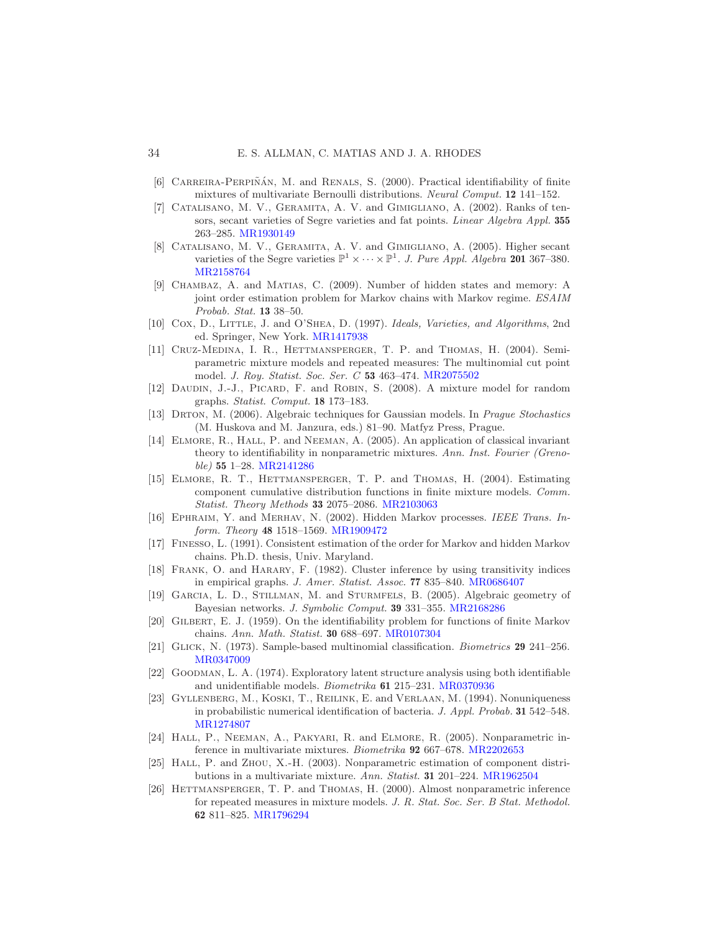- <span id="page-33-2"></span> $[6]$  CARREIRA-PERPIÑAN, M. and RENALS, S. (2000). Practical identifiability of finite mixtures of multivariate Bernoulli distributions. Neural Comput. 12 141–152.
- <span id="page-33-6"></span>[7] Catalisano, M. V., Geramita, A. V. and Gimigliano, A. (2002). Ranks of tensors, secant varieties of Segre varieties and fat points. Linear Algebra Appl. 355 263–285. [MR1930149](http://www.ams.org/mathscinet-getitem?mr=1930149)
- <span id="page-33-7"></span>[8] Catalisano, M. V., Geramita, A. V. and Gimigliano, A. (2005). Higher secant varieties of the Segre varieties  $\mathbb{P}^1 \times \cdots \times \mathbb{P}^1$ . J. Pure Appl. Algebra 201 367-380. [MR2158764](http://www.ams.org/mathscinet-getitem?mr=2158764)
- <span id="page-33-16"></span>[9] Chambaz, A. and Matias, C. (2009). Number of hidden states and memory: A joint order estimation problem for Markov chains with Markov regime. ESAIM Probab. Stat. 13 38–50.
- <span id="page-33-14"></span>[10] Cox, D., LITTLE, J. and O'SHEA, D. (1997). Ideals, Varieties, and Algorithms, 2nd ed. Springer, New York. [MR1417938](http://www.ams.org/mathscinet-getitem?mr=1417938)
- <span id="page-33-11"></span>[11] Cruz-Medina, I. R., Hettmansperger, T. P. and Thomas, H. (2004). Semiparametric mixture models and repeated measures: The multinomial cut point model. J. Roy. Statist. Soc. Ser. C 53 463–474. [MR2075502](http://www.ams.org/mathscinet-getitem?mr=2075502)
- <span id="page-33-19"></span>[12] DAUDIN, J.-J., PICARD, F. and ROBIN, S. (2008). A mixture model for random graphs. Statist. Comput. 18 173–183.
- <span id="page-33-5"></span>[13] DRTON, M. (2006). Algebraic techniques for Gaussian models. In Prague Stochastics (M. Huskova and M. Janzura, eds.) 81–90. Matfyz Press, Prague.
- <span id="page-33-8"></span>[14] ELMORE, R., HALL, P. and NEEMAN, A. (2005). An application of classical invariant theory to identifiability in nonparametric mixtures. Ann. Inst. Fourier (Grenoble) 55 1–28. [MR2141286](http://www.ams.org/mathscinet-getitem?mr=2141286)
- <span id="page-33-12"></span>[15] Elmore, R. T., Hettmansperger, T. P. and Thomas, H. (2004). Estimating component cumulative distribution functions in finite mixture models. Comm. Statist. Theory Methods 33 2075–2086. [MR2103063](http://www.ams.org/mathscinet-getitem?mr=2103063)
- <span id="page-33-0"></span>[16] Ephraim, Y. and Merhav, N. (2002). Hidden Markov processes. IEEE Trans. Inform. Theory 48 1518–1569. [MR1909472](http://www.ams.org/mathscinet-getitem?mr=1909472)
- <span id="page-33-18"></span>[17] Finesso, L. (1991). Consistent estimation of the order for Markov and hidden Markov chains. Ph.D. thesis, Univ. Maryland.
- <span id="page-33-20"></span>[18] Frank, O. and Harary, F. (1982). Cluster inference by using transitivity indices in empirical graphs. J. Amer. Statist. Assoc. 77 835–840. [MR0686407](http://www.ams.org/mathscinet-getitem?mr=0686407)
- <span id="page-33-4"></span>[19] Garcia, L. D., Stillman, M. and Sturmfels, B. (2005). Algebraic geometry of Bayesian networks. J. Symbolic Comput. 39 331–355. [MR2168286](http://www.ams.org/mathscinet-getitem?mr=2168286)
- <span id="page-33-17"></span>[20] Gilbert, E. J. (1959). On the identifiability problem for functions of finite Markov chains. Ann. Math. Statist. 30 688–697. [MR0107304](http://www.ams.org/mathscinet-getitem?mr=0107304)
- <span id="page-33-15"></span>[21] Glick, N. (1973). Sample-based multinomial classification. Biometrics 29 241–256. [MR0347009](http://www.ams.org/mathscinet-getitem?mr=0347009)
- <span id="page-33-3"></span>[22] Goodman, L. A. (1974). Exploratory latent structure analysis using both identifiable and unidentifiable models. Biometrika 61 215–231. [MR0370936](http://www.ams.org/mathscinet-getitem?mr=0370936)
- <span id="page-33-1"></span>[23] Gyllenberg, M., Koski, T., Reilink, E. and Verlaan, M. (1994). Nonuniqueness in probabilistic numerical identification of bacteria. J. Appl. Probab. 31 542–548. [MR1274807](http://www.ams.org/mathscinet-getitem?mr=1274807)
- <span id="page-33-13"></span>[24] HALL, P., NEEMAN, A., PAKYARI, R. and ELMORE, R. (2005). Nonparametric inference in multivariate mixtures. Biometrika 92 667–678. [MR2202653](http://www.ams.org/mathscinet-getitem?mr=2202653)
- <span id="page-33-9"></span>[25] HALL, P. and ZHOU, X.-H. (2003). Nonparametric estimation of component distributions in a multivariate mixture. Ann. Statist. 31 201–224. [MR1962504](http://www.ams.org/mathscinet-getitem?mr=1962504)
- <span id="page-33-10"></span>[26] HETTMANSPERGER, T. P. and THOMAS, H. (2000). Almost nonparametric inference for repeated measures in mixture models. J. R. Stat. Soc. Ser. B Stat. Methodol. 62 811–825. [MR1796294](http://www.ams.org/mathscinet-getitem?mr=1796294)